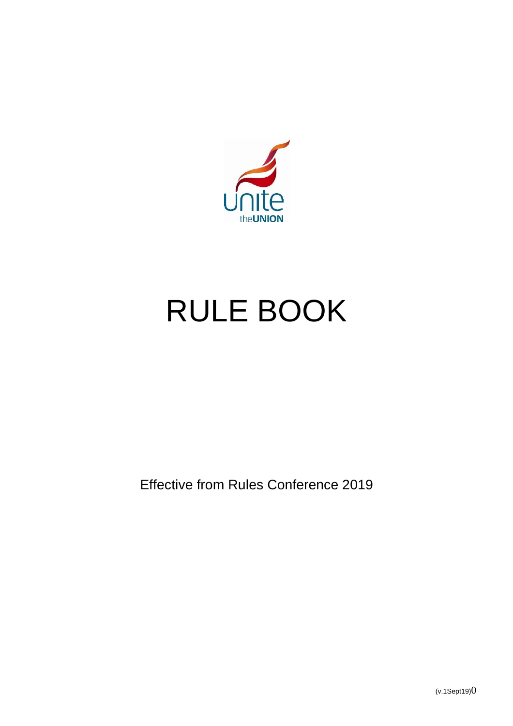

# RULE BOOK

Effective from Rules Conference 2019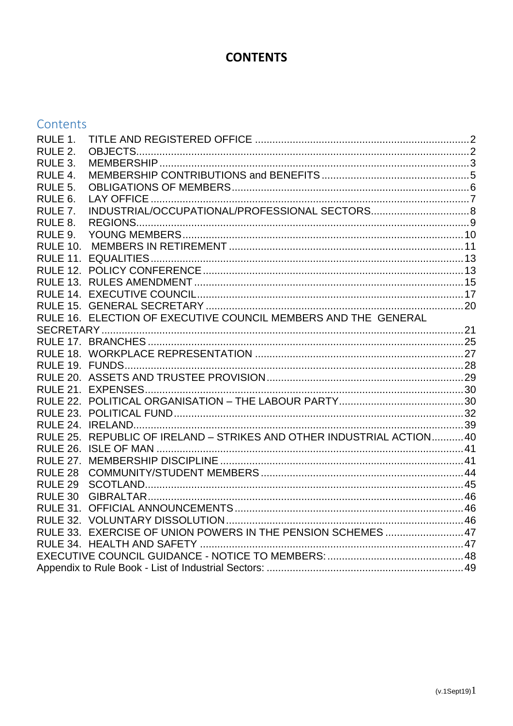## **CONTENTS**

|  |  | Contents |
|--|--|----------|
|  |  |          |

| RULE 1.            |                                                                       |  |  |
|--------------------|-----------------------------------------------------------------------|--|--|
| RULE 2.            |                                                                       |  |  |
| RULE 3.            |                                                                       |  |  |
| RULE 4.            |                                                                       |  |  |
| RULE 5.            |                                                                       |  |  |
| RULE 6.            |                                                                       |  |  |
| RULE 7.            |                                                                       |  |  |
| RULE 8.            |                                                                       |  |  |
| RULE 9.            |                                                                       |  |  |
| <b>RULE 10.</b>    |                                                                       |  |  |
|                    |                                                                       |  |  |
|                    |                                                                       |  |  |
|                    |                                                                       |  |  |
|                    |                                                                       |  |  |
|                    |                                                                       |  |  |
|                    | RULE 16. ELECTION OF EXECUTIVE COUNCIL MEMBERS AND THE GENERAL        |  |  |
|                    |                                                                       |  |  |
|                    |                                                                       |  |  |
|                    |                                                                       |  |  |
|                    |                                                                       |  |  |
|                    |                                                                       |  |  |
|                    |                                                                       |  |  |
|                    |                                                                       |  |  |
|                    |                                                                       |  |  |
|                    |                                                                       |  |  |
|                    | RULE 25. REPUBLIC OF IRELAND - STRIKES AND OTHER INDUSTRIAL ACTION 40 |  |  |
|                    |                                                                       |  |  |
|                    |                                                                       |  |  |
| RULE 28            |                                                                       |  |  |
| RULE <sub>29</sub> |                                                                       |  |  |
| RULE 30            |                                                                       |  |  |
|                    |                                                                       |  |  |
|                    |                                                                       |  |  |
|                    | RULE 33. EXERCISE OF UNION POWERS IN THE PENSION SCHEMES  47          |  |  |
|                    |                                                                       |  |  |
|                    |                                                                       |  |  |
|                    |                                                                       |  |  |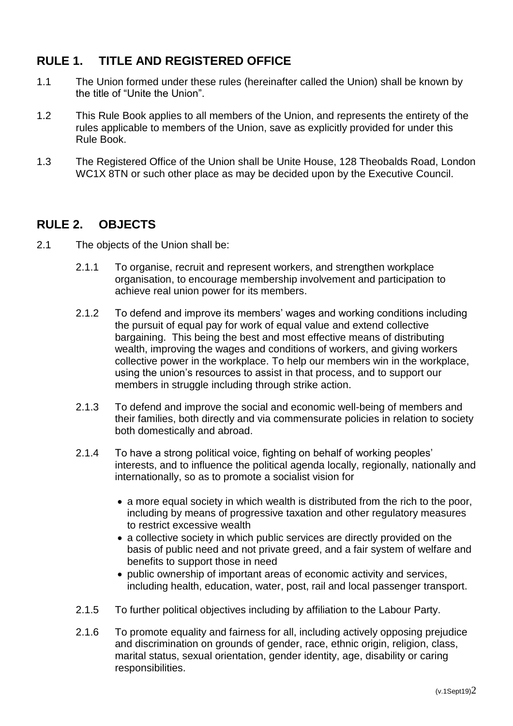## <span id="page-2-0"></span>**RULE 1. TITLE AND REGISTERED OFFICE**

- 1.1 The Union formed under these rules (hereinafter called the Union) shall be known by the title of "Unite the Union".
- 1.2 This Rule Book applies to all members of the Union, and represents the entirety of the rules applicable to members of the Union, save as explicitly provided for under this Rule Book.
- 1.3 The Registered Office of the Union shall be Unite House, 128 Theobalds Road, London WC1X 8TN or such other place as may be decided upon by the Executive Council.

## <span id="page-2-1"></span>**RULE 2. OBJECTS**

- 2.1 The objects of the Union shall be:
	- 2.1.1 To organise, recruit and represent workers, and strengthen workplace organisation, to encourage membership involvement and participation to achieve real union power for its members.
	- 2.1.2 To defend and improve its members' wages and working conditions including the pursuit of equal pay for work of equal value and extend collective bargaining. This being the best and most effective means of distributing wealth, improving the wages and conditions of workers, and giving workers collective power in the workplace. To help our members win in the workplace, using the union's resources to assist in that process, and to support our members in struggle including through strike action.
	- 2.1.3 To defend and improve the social and economic well-being of members and their families, both directly and via commensurate policies in relation to society both domestically and abroad.
	- 2.1.4 To have a strong political voice, fighting on behalf of working peoples' interests, and to influence the political agenda locally, regionally, nationally and internationally, so as to promote a socialist vision for
		- a more equal society in which wealth is distributed from the rich to the poor, including by means of progressive taxation and other regulatory measures to restrict excessive wealth
		- a collective society in which public services are directly provided on the basis of public need and not private greed, and a fair system of welfare and benefits to support those in need
		- public ownership of important areas of economic activity and services, including health, education, water, post, rail and local passenger transport.
	- 2.1.5 To further political objectives including by affiliation to the Labour Party.
	- 2.1.6 To promote equality and fairness for all, including actively opposing prejudice and discrimination on grounds of gender, race, ethnic origin, religion, class, marital status, sexual orientation, gender identity, age, disability or caring responsibilities.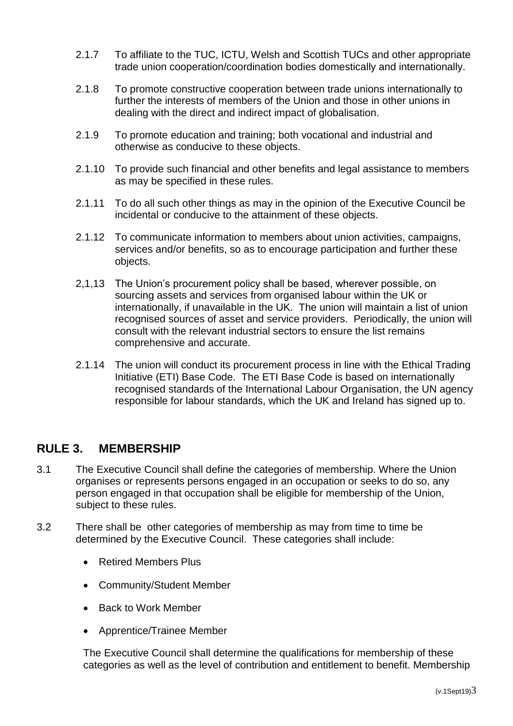- 2.1.7 To affiliate to the TUC, ICTU, Welsh and Scottish TUCs and other appropriate trade union cooperation/coordination bodies domestically and internationally.
- 2.1.8 To promote constructive cooperation between trade unions internationally to further the interests of members of the Union and those in other unions in dealing with the direct and indirect impact of globalisation.
- 2.1.9 To promote education and training; both vocational and industrial and otherwise as conducive to these objects.
- 2.1.10 To provide such financial and other benefits and legal assistance to members as may be specified in these rules.
- 2.1.11 To do all such other things as may in the opinion of the Executive Council be incidental or conducive to the attainment of these objects.
- 2.1.12 To communicate information to members about union activities, campaigns, services and/or benefits, so as to encourage participation and further these objects.
- 2,1,13 The Union's procurement policy shall be based, wherever possible, on sourcing assets and services from organised labour within the UK or internationally, if unavailable in the UK. The union will maintain a list of union recognised sources of asset and service providers. Periodically, the union will consult with the relevant industrial sectors to ensure the list remains comprehensive and accurate.
- 2.1.14 The union will conduct its procurement process in line with the Ethical Trading Initiative (ETI) Base Code. The ETI Base Code is based on internationally recognised standards of the International Labour Organisation, the UN agency responsible for labour standards, which the UK and Ireland has signed up to.

## <span id="page-3-0"></span>**RULE 3. MEMBERSHIP**

- 3.1 The Executive Council shall define the categories of membership. Where the Union organises or represents persons engaged in an occupation or seeks to do so, any person engaged in that occupation shall be eligible for membership of the Union, subject to these rules.
- 3.2 There shall be other categories of membership as may from time to time be determined by the Executive Council. These categories shall include:
	- Retired Members Plus
	- Community/Student Member
	- Back to Work Member
	- Apprentice/Trainee Member

The Executive Council shall determine the qualifications for membership of these categories as well as the level of contribution and entitlement to benefit. Membership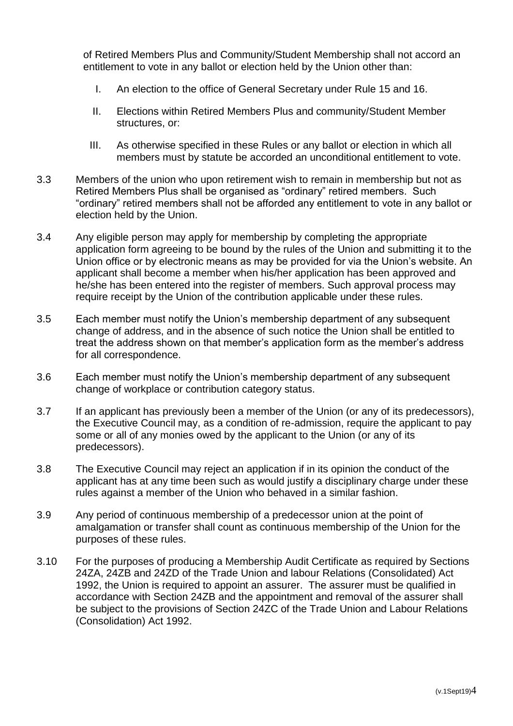of Retired Members Plus and Community/Student Membership shall not accord an entitlement to vote in any ballot or election held by the Union other than:

- I. An election to the office of General Secretary under Rule 15 and 16.
- II. Elections within Retired Members Plus and community/Student Member structures, or:
- III. As otherwise specified in these Rules or any ballot or election in which all members must by statute be accorded an unconditional entitlement to vote.
- 3.3 Members of the union who upon retirement wish to remain in membership but not as Retired Members Plus shall be organised as "ordinary" retired members. Such "ordinary" retired members shall not be afforded any entitlement to vote in any ballot or election held by the Union.
- 3.4 Any eligible person may apply for membership by completing the appropriate application form agreeing to be bound by the rules of the Union and submitting it to the Union office or by electronic means as may be provided for via the Union's website. An applicant shall become a member when his/her application has been approved and he/she has been entered into the register of members. Such approval process may require receipt by the Union of the contribution applicable under these rules.
- 3.5 Each member must notify the Union's membership department of any subsequent change of address, and in the absence of such notice the Union shall be entitled to treat the address shown on that member's application form as the member's address for all correspondence.
- 3.6 Each member must notify the Union's membership department of any subsequent change of workplace or contribution category status.
- 3.7 If an applicant has previously been a member of the Union (or any of its predecessors), the Executive Council may, as a condition of re-admission, require the applicant to pay some or all of any monies owed by the applicant to the Union (or any of its predecessors).
- 3.8 The Executive Council may reject an application if in its opinion the conduct of the applicant has at any time been such as would justify a disciplinary charge under these rules against a member of the Union who behaved in a similar fashion.
- 3.9 Any period of continuous membership of a predecessor union at the point of amalgamation or transfer shall count as continuous membership of the Union for the purposes of these rules.
- 3.10 For the purposes of producing a Membership Audit Certificate as required by Sections 24ZA, 24ZB and 24ZD of the Trade Union and labour Relations (Consolidated) Act 1992, the Union is required to appoint an assurer. The assurer must be qualified in accordance with Section 24ZB and the appointment and removal of the assurer shall be subject to the provisions of Section 24ZC of the Trade Union and Labour Relations (Consolidation) Act 1992.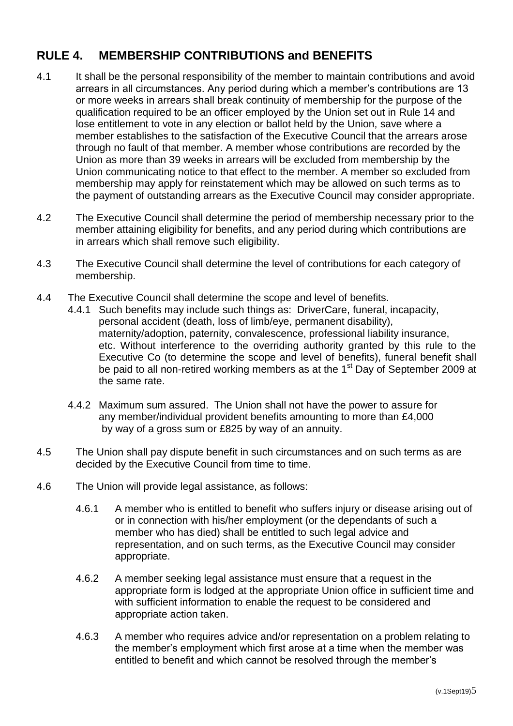## <span id="page-5-0"></span>**RULE 4. MEMBERSHIP CONTRIBUTIONS and BENEFITS**

- 4.1 It shall be the personal responsibility of the member to maintain contributions and avoid arrears in all circumstances. Any period during which a member's contributions are 13 or more weeks in arrears shall break continuity of membership for the purpose of the qualification required to be an officer employed by the Union set out in Rule 14 and lose entitlement to vote in any election or ballot held by the Union, save where a member establishes to the satisfaction of the Executive Council that the arrears arose through no fault of that member. A member whose contributions are recorded by the Union as more than 39 weeks in arrears will be excluded from membership by the Union communicating notice to that effect to the member. A member so excluded from membership may apply for reinstatement which may be allowed on such terms as to the payment of outstanding arrears as the Executive Council may consider appropriate.
- 4.2 The Executive Council shall determine the period of membership necessary prior to the member attaining eligibility for benefits, and any period during which contributions are in arrears which shall remove such eligibility.
- 4.3 The Executive Council shall determine the level of contributions for each category of membership.
- 4.4 The Executive Council shall determine the scope and level of benefits.
	- 4.4.1 Such benefits may include such things as: DriverCare, funeral, incapacity, personal accident (death, loss of limb/eye, permanent disability), maternity/adoption, paternity, convalescence, professional liability insurance, etc. Without interference to the overriding authority granted by this rule to the Executive Co (to determine the scope and level of benefits), funeral benefit shall be paid to all non-retired working members as at the 1<sup>st</sup> Day of September 2009 at the same rate.
	- 4.4.2 Maximum sum assured. The Union shall not have the power to assure for any member/individual provident benefits amounting to more than £4,000 by way of a gross sum or £825 by way of an annuity.
- 4.5 The Union shall pay dispute benefit in such circumstances and on such terms as are decided by the Executive Council from time to time.
- 4.6 The Union will provide legal assistance, as follows:
	- 4.6.1 A member who is entitled to benefit who suffers injury or disease arising out of or in connection with his/her employment (or the dependants of such a member who has died) shall be entitled to such legal advice and representation, and on such terms, as the Executive Council may consider appropriate.
	- 4.6.2 A member seeking legal assistance must ensure that a request in the appropriate form is lodged at the appropriate Union office in sufficient time and with sufficient information to enable the request to be considered and appropriate action taken.
	- 4.6.3 A member who requires advice and/or representation on a problem relating to the member's employment which first arose at a time when the member was entitled to benefit and which cannot be resolved through the member's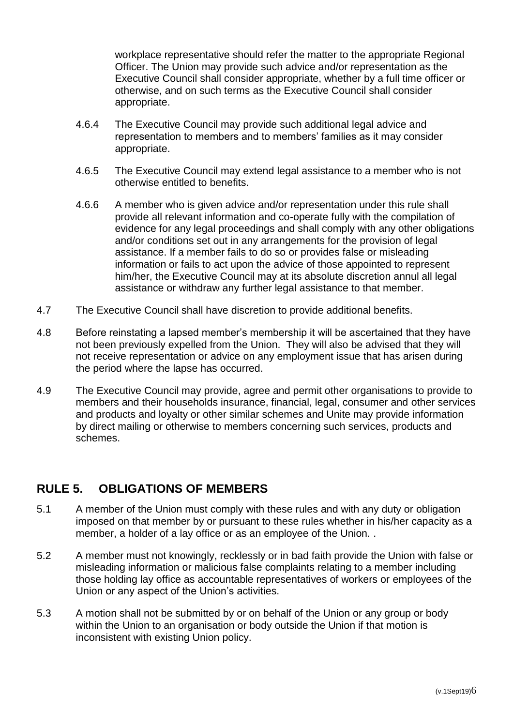workplace representative should refer the matter to the appropriate Regional Officer. The Union may provide such advice and/or representation as the Executive Council shall consider appropriate, whether by a full time officer or otherwise, and on such terms as the Executive Council shall consider appropriate.

- 4.6.4 The Executive Council may provide such additional legal advice and representation to members and to members' families as it may consider appropriate.
- 4.6.5 The Executive Council may extend legal assistance to a member who is not otherwise entitled to benefits.
- 4.6.6 A member who is given advice and/or representation under this rule shall provide all relevant information and co-operate fully with the compilation of evidence for any legal proceedings and shall comply with any other obligations and/or conditions set out in any arrangements for the provision of legal assistance. If a member fails to do so or provides false or misleading information or fails to act upon the advice of those appointed to represent him/her, the Executive Council may at its absolute discretion annul all legal assistance or withdraw any further legal assistance to that member.
- 4.7 The Executive Council shall have discretion to provide additional benefits.
- 4.8 Before reinstating a lapsed member's membership it will be ascertained that they have not been previously expelled from the Union. They will also be advised that they will not receive representation or advice on any employment issue that has arisen during the period where the lapse has occurred.
- 4.9 The Executive Council may provide, agree and permit other organisations to provide to members and their households insurance, financial, legal, consumer and other services and products and loyalty or other similar schemes and Unite may provide information by direct mailing or otherwise to members concerning such services, products and schemes.

## <span id="page-6-0"></span>**RULE 5. OBLIGATIONS OF MEMBERS**

- 5.1 A member of the Union must comply with these rules and with any duty or obligation imposed on that member by or pursuant to these rules whether in his/her capacity as a member, a holder of a lay office or as an employee of the Union. .
- 5.2 A member must not knowingly, recklessly or in bad faith provide the Union with false or misleading information or malicious false complaints relating to a member including those holding lay office as accountable representatives of workers or employees of the Union or any aspect of the Union's activities.
- 5.3 A motion shall not be submitted by or on behalf of the Union or any group or body within the Union to an organisation or body outside the Union if that motion is inconsistent with existing Union policy.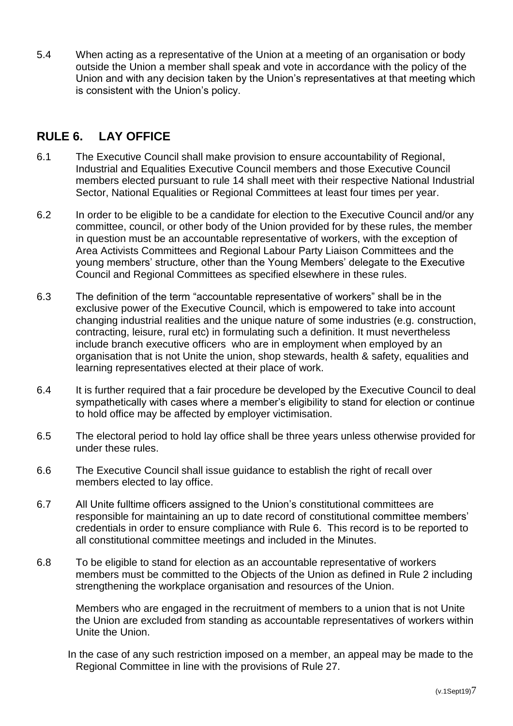5.4 When acting as a representative of the Union at a meeting of an organisation or body outside the Union a member shall speak and vote in accordance with the policy of the Union and with any decision taken by the Union's representatives at that meeting which is consistent with the Union's policy.

## <span id="page-7-0"></span>**RULE 6. LAY OFFICE**

- 6.1 The Executive Council shall make provision to ensure accountability of Regional, Industrial and Equalities Executive Council members and those Executive Council members elected pursuant to rule 14 shall meet with their respective National Industrial Sector, National Equalities or Regional Committees at least four times per year.
- 6.2 In order to be eligible to be a candidate for election to the Executive Council and/or any committee, council, or other body of the Union provided for by these rules, the member in question must be an accountable representative of workers, with the exception of Area Activists Committees and Regional Labour Party Liaison Committees and the young members' structure, other than the Young Members' delegate to the Executive Council and Regional Committees as specified elsewhere in these rules.
- 6.3 The definition of the term "accountable representative of workers" shall be in the exclusive power of the Executive Council, which is empowered to take into account changing industrial realities and the unique nature of some industries (e.g. construction, contracting, leisure, rural etc) in formulating such a definition. It must nevertheless include branch executive officers who are in employment when employed by an organisation that is not Unite the union, shop stewards, health & safety, equalities and learning representatives elected at their place of work.
- 6.4 It is further required that a fair procedure be developed by the Executive Council to deal sympathetically with cases where a member's eligibility to stand for election or continue to hold office may be affected by employer victimisation.
- 6.5 The electoral period to hold lay office shall be three years unless otherwise provided for under these rules.
- 6.6 The Executive Council shall issue guidance to establish the right of recall over members elected to lay office.
- 6.7 All Unite fulltime officers assigned to the Union's constitutional committees are responsible for maintaining an up to date record of constitutional committee members' credentials in order to ensure compliance with Rule 6. This record is to be reported to all constitutional committee meetings and included in the Minutes.
- 6.8 To be eligible to stand for election as an accountable representative of workers members must be committed to the Objects of the Union as defined in Rule 2 including strengthening the workplace organisation and resources of the Union.

Members who are engaged in the recruitment of members to a union that is not Unite the Union are excluded from standing as accountable representatives of workers within Unite the Union.

In the case of any such restriction imposed on a member, an appeal may be made to the Regional Committee in line with the provisions of Rule 27.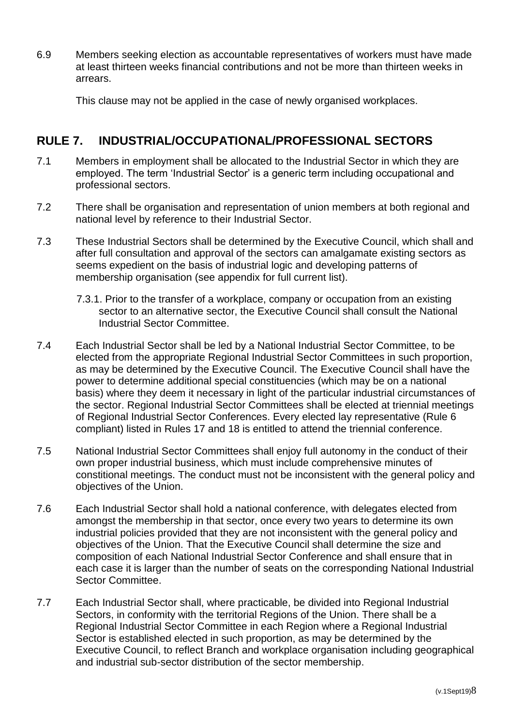6.9 Members seeking election as accountable representatives of workers must have made at least thirteen weeks financial contributions and not be more than thirteen weeks in arrears.

This clause may not be applied in the case of newly organised workplaces.

## <span id="page-8-0"></span>**RULE 7. INDUSTRIAL/OCCUPATIONAL/PROFESSIONAL SECTORS**

- 7.1 Members in employment shall be allocated to the Industrial Sector in which they are employed. The term 'Industrial Sector' is a generic term including occupational and professional sectors.
- 7.2 There shall be organisation and representation of union members at both regional and national level by reference to their Industrial Sector.
- 7.3 These Industrial Sectors shall be determined by the Executive Council, which shall and after full consultation and approval of the sectors can amalgamate existing sectors as seems expedient on the basis of industrial logic and developing patterns of membership organisation (see appendix for full current list).
	- 7.3.1. Prior to the transfer of a workplace, company or occupation from an existing sector to an alternative sector, the Executive Council shall consult the National Industrial Sector Committee.
- 7.4 Each Industrial Sector shall be led by a National Industrial Sector Committee, to be elected from the appropriate Regional Industrial Sector Committees in such proportion, as may be determined by the Executive Council. The Executive Council shall have the power to determine additional special constituencies (which may be on a national basis) where they deem it necessary in light of the particular industrial circumstances of the sector. Regional Industrial Sector Committees shall be elected at triennial meetings of Regional Industrial Sector Conferences. Every elected lay representative (Rule 6 compliant) listed in Rules 17 and 18 is entitled to attend the triennial conference.
- 7.5 National Industrial Sector Committees shall enjoy full autonomy in the conduct of their own proper industrial business, which must include comprehensive minutes of constitional meetings. The conduct must not be inconsistent with the general policy and objectives of the Union.
- 7.6 Each Industrial Sector shall hold a national conference, with delegates elected from amongst the membership in that sector, once every two years to determine its own industrial policies provided that they are not inconsistent with the general policy and objectives of the Union. That the Executive Council shall determine the size and composition of each National Industrial Sector Conference and shall ensure that in each case it is larger than the number of seats on the corresponding National Industrial Sector Committee.
- 7.7 Each Industrial Sector shall, where practicable, be divided into Regional Industrial Sectors, in conformity with the territorial Regions of the Union. There shall be a Regional Industrial Sector Committee in each Region where a Regional Industrial Sector is established elected in such proportion, as may be determined by the Executive Council, to reflect Branch and workplace organisation including geographical and industrial sub-sector distribution of the sector membership.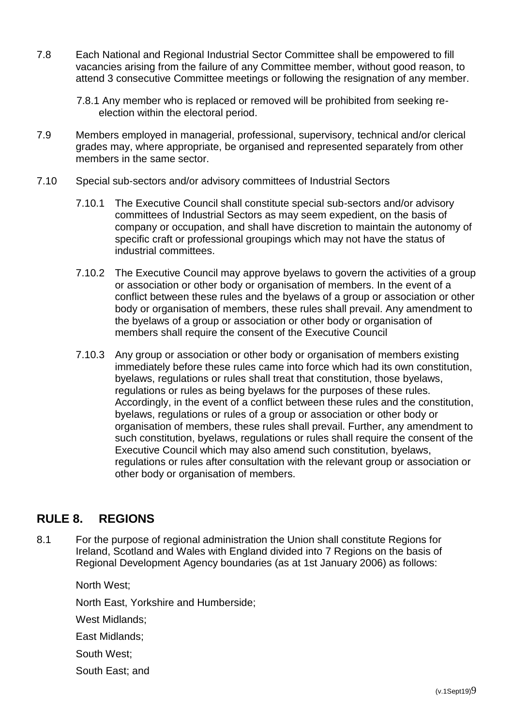- 7.8 Each National and Regional Industrial Sector Committee shall be empowered to fill vacancies arising from the failure of any Committee member, without good reason, to attend 3 consecutive Committee meetings or following the resignation of any member.
	- 7.8.1 Any member who is replaced or removed will be prohibited from seeking reelection within the electoral period.
- 7.9 Members employed in managerial, professional, supervisory, technical and/or clerical grades may, where appropriate, be organised and represented separately from other members in the same sector.
- 7.10 Special sub-sectors and/or advisory committees of Industrial Sectors
	- 7.10.1 The Executive Council shall constitute special sub-sectors and/or advisory committees of Industrial Sectors as may seem expedient, on the basis of company or occupation, and shall have discretion to maintain the autonomy of specific craft or professional groupings which may not have the status of industrial committees.
	- 7.10.2 The Executive Council may approve byelaws to govern the activities of a group or association or other body or organisation of members. In the event of a conflict between these rules and the byelaws of a group or association or other body or organisation of members, these rules shall prevail. Any amendment to the byelaws of a group or association or other body or organisation of members shall require the consent of the Executive Council
	- 7.10.3 Any group or association or other body or organisation of members existing immediately before these rules came into force which had its own constitution, byelaws, regulations or rules shall treat that constitution, those byelaws, regulations or rules as being byelaws for the purposes of these rules. Accordingly, in the event of a conflict between these rules and the constitution, byelaws, regulations or rules of a group or association or other body or organisation of members, these rules shall prevail. Further, any amendment to such constitution, byelaws, regulations or rules shall require the consent of the Executive Council which may also amend such constitution, byelaws, regulations or rules after consultation with the relevant group or association or other body or organisation of members.

## <span id="page-9-0"></span>**RULE 8. REGIONS**

8.1 For the purpose of regional administration the Union shall constitute Regions for Ireland, Scotland and Wales with England divided into 7 Regions on the basis of Regional Development Agency boundaries (as at 1st January 2006) as follows:

North West; North East, Yorkshire and Humberside; West Midlands; East Midlands; South West; South East; and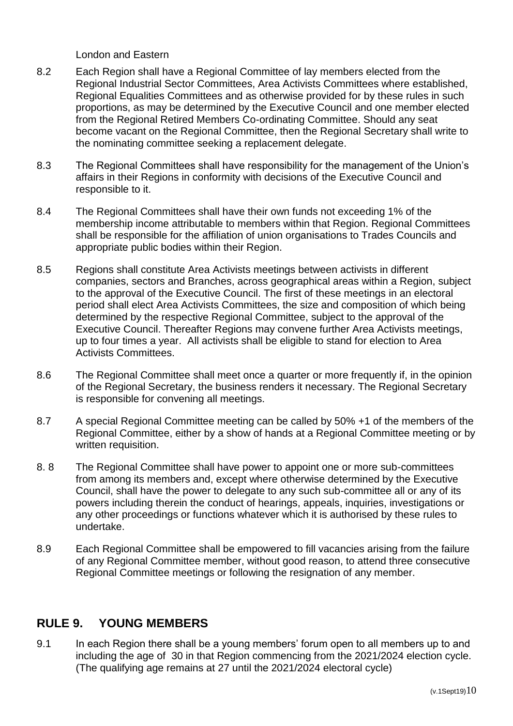London and Eastern

- 8.2 Each Region shall have a Regional Committee of lay members elected from the Regional Industrial Sector Committees, Area Activists Committees where established, Regional Equalities Committees and as otherwise provided for by these rules in such proportions, as may be determined by the Executive Council and one member elected from the Regional Retired Members Co-ordinating Committee. Should any seat become vacant on the Regional Committee, then the Regional Secretary shall write to the nominating committee seeking a replacement delegate.
- 8.3 The Regional Committees shall have responsibility for the management of the Union's affairs in their Regions in conformity with decisions of the Executive Council and responsible to it.
- 8.4 The Regional Committees shall have their own funds not exceeding 1% of the membership income attributable to members within that Region. Regional Committees shall be responsible for the affiliation of union organisations to Trades Councils and appropriate public bodies within their Region.
- 8.5 Regions shall constitute Area Activists meetings between activists in different companies, sectors and Branches, across geographical areas within a Region, subject to the approval of the Executive Council. The first of these meetings in an electoral period shall elect Area Activists Committees, the size and composition of which being determined by the respective Regional Committee, subject to the approval of the Executive Council. Thereafter Regions may convene further Area Activists meetings, up to four times a year. All activists shall be eligible to stand for election to Area Activists Committees.
- 8.6 The Regional Committee shall meet once a quarter or more frequently if, in the opinion of the Regional Secretary, the business renders it necessary. The Regional Secretary is responsible for convening all meetings.
- 8.7 A special Regional Committee meeting can be called by 50% +1 of the members of the Regional Committee, either by a show of hands at a Regional Committee meeting or by written requisition.
- 8. 8 The Regional Committee shall have power to appoint one or more sub-committees from among its members and, except where otherwise determined by the Executive Council, shall have the power to delegate to any such sub-committee all or any of its powers including therein the conduct of hearings, appeals, inquiries, investigations or any other proceedings or functions whatever which it is authorised by these rules to undertake.
- 8.9 Each Regional Committee shall be empowered to fill vacancies arising from the failure of any Regional Committee member, without good reason, to attend three consecutive Regional Committee meetings or following the resignation of any member.

## <span id="page-10-0"></span>**RULE 9. YOUNG MEMBERS**

9.1 In each Region there shall be a young members' forum open to all members up to and including the age of 30 in that Region commencing from the 2021/2024 election cycle. (The qualifying age remains at 27 until the 2021/2024 electoral cycle)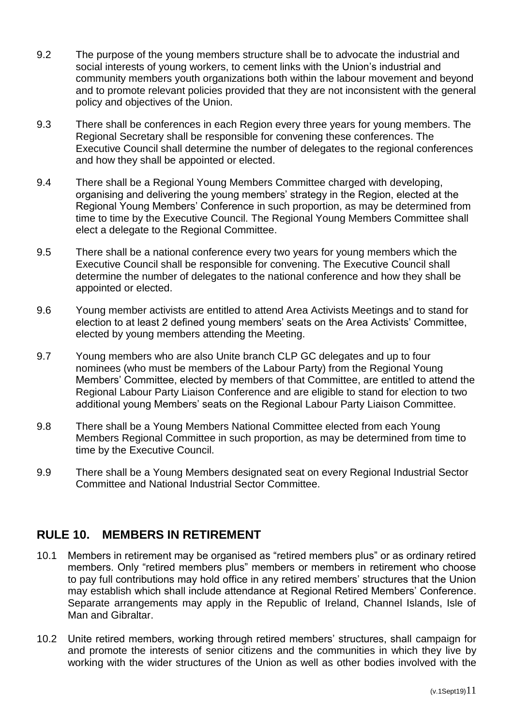- 9.2 The purpose of the young members structure shall be to advocate the industrial and social interests of young workers, to cement links with the Union's industrial and community members youth organizations both within the labour movement and beyond and to promote relevant policies provided that they are not inconsistent with the general policy and objectives of the Union.
- 9.3 There shall be conferences in each Region every three years for young members. The Regional Secretary shall be responsible for convening these conferences. The Executive Council shall determine the number of delegates to the regional conferences and how they shall be appointed or elected.
- 9.4 There shall be a Regional Young Members Committee charged with developing, organising and delivering the young members' strategy in the Region, elected at the Regional Young Members' Conference in such proportion, as may be determined from time to time by the Executive Council. The Regional Young Members Committee shall elect a delegate to the Regional Committee.
- 9.5 There shall be a national conference every two years for young members which the Executive Council shall be responsible for convening. The Executive Council shall determine the number of delegates to the national conference and how they shall be appointed or elected.
- 9.6 Young member activists are entitled to attend Area Activists Meetings and to stand for election to at least 2 defined young members' seats on the Area Activists' Committee, elected by young members attending the Meeting.
- 9.7 Young members who are also Unite branch CLP GC delegates and up to four nominees (who must be members of the Labour Party) from the Regional Young Members' Committee, elected by members of that Committee, are entitled to attend the Regional Labour Party Liaison Conference and are eligible to stand for election to two additional young Members' seats on the Regional Labour Party Liaison Committee.
- 9.8 There shall be a Young Members National Committee elected from each Young Members Regional Committee in such proportion, as may be determined from time to time by the Executive Council.
- 9.9 There shall be a Young Members designated seat on every Regional Industrial Sector Committee and National Industrial Sector Committee.

## <span id="page-11-0"></span>**RULE 10. MEMBERS IN RETIREMENT**

- 10.1 Members in retirement may be organised as "retired members plus" or as ordinary retired members. Only "retired members plus" members or members in retirement who choose to pay full contributions may hold office in any retired members' structures that the Union may establish which shall include attendance at Regional Retired Members' Conference. Separate arrangements may apply in the Republic of Ireland, Channel Islands, Isle of Man and Gibraltar.
- 10.2 Unite retired members, working through retired members' structures, shall campaign for and promote the interests of senior citizens and the communities in which they live by working with the wider structures of the Union as well as other bodies involved with the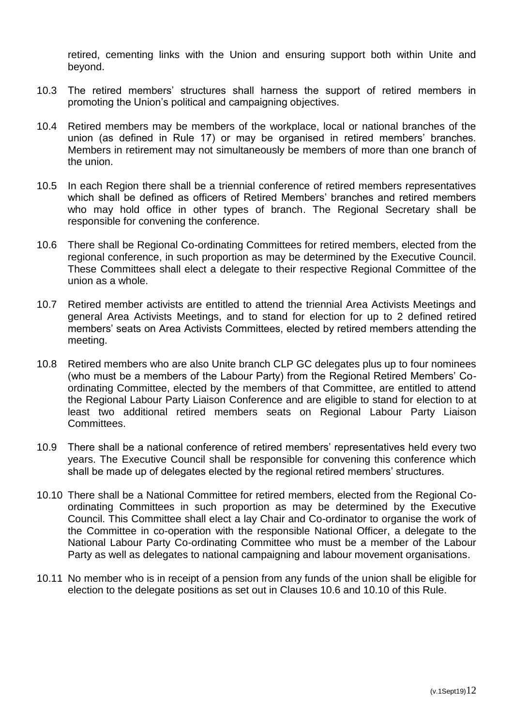retired, cementing links with the Union and ensuring support both within Unite and beyond.

- 10.3 The retired members' structures shall harness the support of retired members in promoting the Union's political and campaigning objectives.
- 10.4 Retired members may be members of the workplace, local or national branches of the union (as defined in Rule 17) or may be organised in retired members' branches. Members in retirement may not simultaneously be members of more than one branch of the union.
- 10.5 In each Region there shall be a triennial conference of retired members representatives which shall be defined as officers of Retired Members' branches and retired members who may hold office in other types of branch. The Regional Secretary shall be responsible for convening the conference.
- 10.6 There shall be Regional Co-ordinating Committees for retired members, elected from the regional conference, in such proportion as may be determined by the Executive Council. These Committees shall elect a delegate to their respective Regional Committee of the union as a whole.
- 10.7 Retired member activists are entitled to attend the triennial Area Activists Meetings and general Area Activists Meetings, and to stand for election for up to 2 defined retired members' seats on Area Activists Committees, elected by retired members attending the meeting.
- 10.8 Retired members who are also Unite branch CLP GC delegates plus up to four nominees (who must be a members of the Labour Party) from the Regional Retired Members' Coordinating Committee, elected by the members of that Committee, are entitled to attend the Regional Labour Party Liaison Conference and are eligible to stand for election to at least two additional retired members seats on Regional Labour Party Liaison Committees.
- 10.9 There shall be a national conference of retired members' representatives held every two years. The Executive Council shall be responsible for convening this conference which shall be made up of delegates elected by the regional retired members' structures.
- 10.10 There shall be a National Committee for retired members, elected from the Regional Coordinating Committees in such proportion as may be determined by the Executive Council. This Committee shall elect a lay Chair and Co-ordinator to organise the work of the Committee in co-operation with the responsible National Officer, a delegate to the National Labour Party Co-ordinating Committee who must be a member of the Labour Party as well as delegates to national campaigning and labour movement organisations.
- 10.11 No member who is in receipt of a pension from any funds of the union shall be eligible for election to the delegate positions as set out in Clauses 10.6 and 10.10 of this Rule.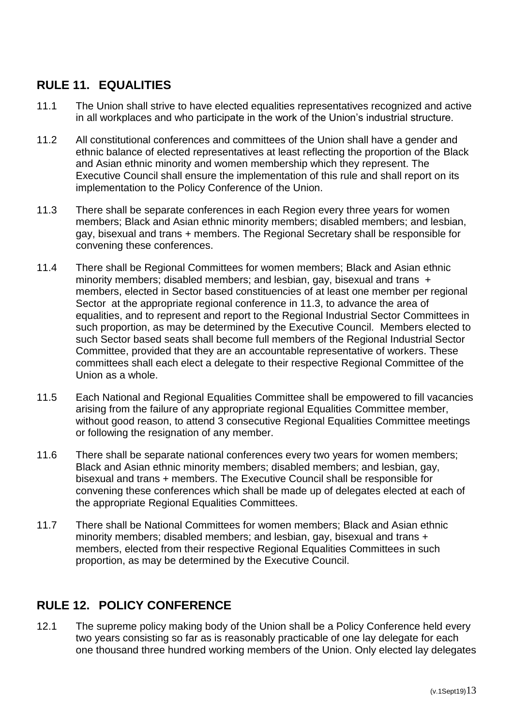## <span id="page-13-0"></span>**RULE 11. EQUALITIES**

- 11.1 The Union shall strive to have elected equalities representatives recognized and active in all workplaces and who participate in the work of the Union's industrial structure.
- 11.2 All constitutional conferences and committees of the Union shall have a gender and ethnic balance of elected representatives at least reflecting the proportion of the Black and Asian ethnic minority and women membership which they represent. The Executive Council shall ensure the implementation of this rule and shall report on its implementation to the Policy Conference of the Union.
- 11.3 There shall be separate conferences in each Region every three years for women members; Black and Asian ethnic minority members; disabled members; and lesbian, gay, bisexual and trans + members. The Regional Secretary shall be responsible for convening these conferences.
- 11.4 There shall be Regional Committees for women members; Black and Asian ethnic minority members; disabled members; and lesbian, gay, bisexual and trans + members, elected in Sector based constituencies of at least one member per regional Sector at the appropriate regional conference in 11.3, to advance the area of equalities, and to represent and report to the Regional Industrial Sector Committees in such proportion, as may be determined by the Executive Council. Members elected to such Sector based seats shall become full members of the Regional Industrial Sector Committee, provided that they are an accountable representative of workers. These committees shall each elect a delegate to their respective Regional Committee of the Union as a whole.
- 11.5 Each National and Regional Equalities Committee shall be empowered to fill vacancies arising from the failure of any appropriate regional Equalities Committee member, without good reason, to attend 3 consecutive Regional Equalities Committee meetings or following the resignation of any member.
- 11.6 There shall be separate national conferences every two years for women members; Black and Asian ethnic minority members; disabled members; and lesbian, gay, bisexual and trans + members. The Executive Council shall be responsible for convening these conferences which shall be made up of delegates elected at each of the appropriate Regional Equalities Committees.
- 11.7 There shall be National Committees for women members; Black and Asian ethnic minority members; disabled members; and lesbian, gay, bisexual and trans + members, elected from their respective Regional Equalities Committees in such proportion, as may be determined by the Executive Council.

## <span id="page-13-1"></span>**RULE 12. POLICY CONFERENCE**

12.1 The supreme policy making body of the Union shall be a Policy Conference held every two years consisting so far as is reasonably practicable of one lay delegate for each one thousand three hundred working members of the Union. Only elected lay delegates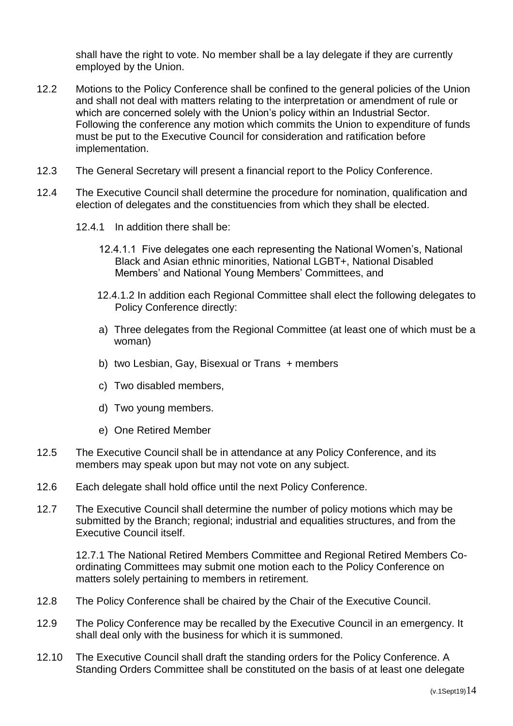shall have the right to vote. No member shall be a lay delegate if they are currently employed by the Union.

- 12.2 Motions to the Policy Conference shall be confined to the general policies of the Union and shall not deal with matters relating to the interpretation or amendment of rule or which are concerned solely with the Union's policy within an Industrial Sector. Following the conference any motion which commits the Union to expenditure of funds must be put to the Executive Council for consideration and ratification before implementation.
- 12.3 The General Secretary will present a financial report to the Policy Conference.
- 12.4 The Executive Council shall determine the procedure for nomination, qualification and election of delegates and the constituencies from which they shall be elected.
	- 12.4.1 In addition there shall be:
		- 12.4.1.1 Five delegates one each representing the National Women's, National Black and Asian ethnic minorities, National LGBT+, National Disabled Members' and National Young Members' Committees, and
		- 12.4.1.2 In addition each Regional Committee shall elect the following delegates to Policy Conference directly:
		- a) Three delegates from the Regional Committee (at least one of which must be a woman)
		- b) two Lesbian, Gay, Bisexual or Trans + members
		- c) Two disabled members,
		- d) Two young members.
		- e) One Retired Member
- 12.5 The Executive Council shall be in attendance at any Policy Conference, and its members may speak upon but may not vote on any subject.
- 12.6 Each delegate shall hold office until the next Policy Conference.
- 12.7 The Executive Council shall determine the number of policy motions which may be submitted by the Branch; regional; industrial and equalities structures, and from the Executive Council itself.

12.7.1 The National Retired Members Committee and Regional Retired Members Coordinating Committees may submit one motion each to the Policy Conference on matters solely pertaining to members in retirement.

- 12.8 The Policy Conference shall be chaired by the Chair of the Executive Council.
- 12.9 The Policy Conference may be recalled by the Executive Council in an emergency. It shall deal only with the business for which it is summoned.
- 12.10 The Executive Council shall draft the standing orders for the Policy Conference. A Standing Orders Committee shall be constituted on the basis of at least one delegate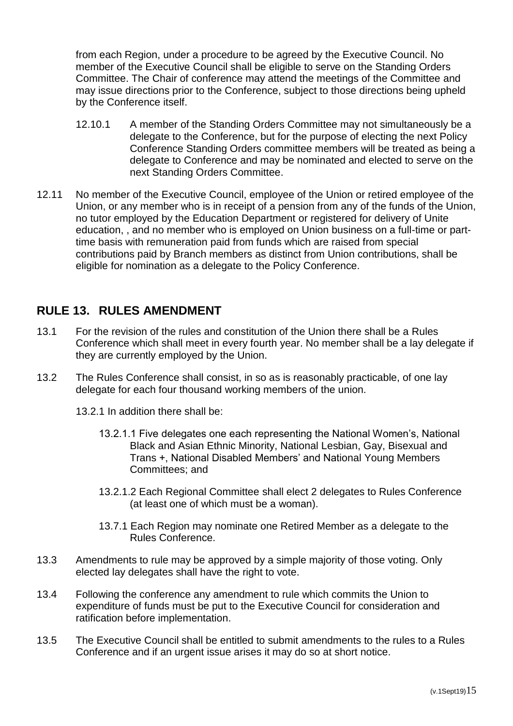from each Region, under a procedure to be agreed by the Executive Council. No member of the Executive Council shall be eligible to serve on the Standing Orders Committee. The Chair of conference may attend the meetings of the Committee and may issue directions prior to the Conference, subject to those directions being upheld by the Conference itself.

- 12.10.1 A member of the Standing Orders Committee may not simultaneously be a delegate to the Conference, but for the purpose of electing the next Policy Conference Standing Orders committee members will be treated as being a delegate to Conference and may be nominated and elected to serve on the next Standing Orders Committee.
- 12.11 No member of the Executive Council, employee of the Union or retired employee of the Union, or any member who is in receipt of a pension from any of the funds of the Union, no tutor employed by the Education Department or registered for delivery of Unite education, , and no member who is employed on Union business on a full-time or parttime basis with remuneration paid from funds which are raised from special contributions paid by Branch members as distinct from Union contributions, shall be eligible for nomination as a delegate to the Policy Conference.

## <span id="page-15-0"></span>**RULE 13. RULES AMENDMENT**

- 13.1 For the revision of the rules and constitution of the Union there shall be a Rules Conference which shall meet in every fourth year. No member shall be a lay delegate if they are currently employed by the Union.
- 13.2 The Rules Conference shall consist, in so as is reasonably practicable, of one lay delegate for each four thousand working members of the union.

13.2.1 In addition there shall be:

- 13.2.1.1 Five delegates one each representing the National Women's, National Black and Asian Ethnic Minority, National Lesbian, Gay, Bisexual and Trans +, National Disabled Members' and National Young Members Committees; and
- 13.2.1.2 Each Regional Committee shall elect 2 delegates to Rules Conference (at least one of which must be a woman).
- 13.7.1 Each Region may nominate one Retired Member as a delegate to the Rules Conference.
- 13.3 Amendments to rule may be approved by a simple majority of those voting. Only elected lay delegates shall have the right to vote.
- 13.4 Following the conference any amendment to rule which commits the Union to expenditure of funds must be put to the Executive Council for consideration and ratification before implementation.
- 13.5 The Executive Council shall be entitled to submit amendments to the rules to a Rules Conference and if an urgent issue arises it may do so at short notice.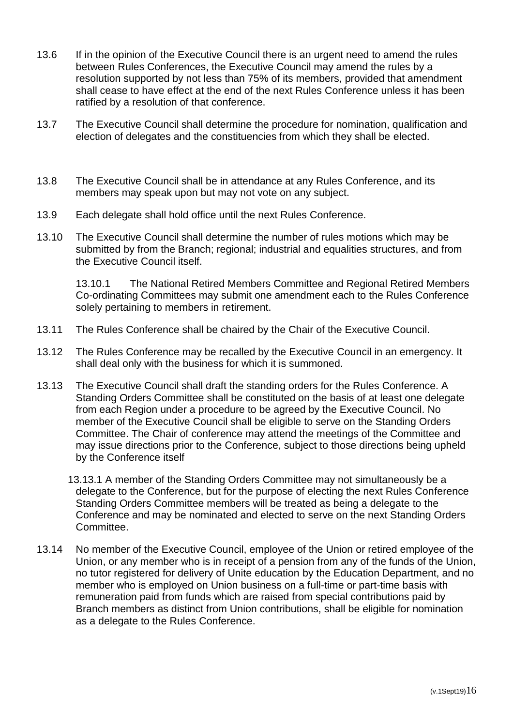- 13.6 If in the opinion of the Executive Council there is an urgent need to amend the rules between Rules Conferences, the Executive Council may amend the rules by a resolution supported by not less than 75% of its members, provided that amendment shall cease to have effect at the end of the next Rules Conference unless it has been ratified by a resolution of that conference.
- 13.7 The Executive Council shall determine the procedure for nomination, qualification and election of delegates and the constituencies from which they shall be elected.
- 13.8 The Executive Council shall be in attendance at any Rules Conference, and its members may speak upon but may not vote on any subject.
- 13.9 Each delegate shall hold office until the next Rules Conference.
- 13.10 The Executive Council shall determine the number of rules motions which may be submitted by from the Branch; regional; industrial and equalities structures, and from the Executive Council itself.

13.10.1 The National Retired Members Committee and Regional Retired Members Co-ordinating Committees may submit one amendment each to the Rules Conference solely pertaining to members in retirement.

- 13.11 The Rules Conference shall be chaired by the Chair of the Executive Council.
- 13.12 The Rules Conference may be recalled by the Executive Council in an emergency. It shall deal only with the business for which it is summoned.
- 13.13 The Executive Council shall draft the standing orders for the Rules Conference. A Standing Orders Committee shall be constituted on the basis of at least one delegate from each Region under a procedure to be agreed by the Executive Council. No member of the Executive Council shall be eligible to serve on the Standing Orders Committee. The Chair of conference may attend the meetings of the Committee and may issue directions prior to the Conference, subject to those directions being upheld by the Conference itself
	- 13.13.1 A member of the Standing Orders Committee may not simultaneously be a delegate to the Conference, but for the purpose of electing the next Rules Conference Standing Orders Committee members will be treated as being a delegate to the Conference and may be nominated and elected to serve on the next Standing Orders Committee.
- 13.14 No member of the Executive Council, employee of the Union or retired employee of the Union, or any member who is in receipt of a pension from any of the funds of the Union, no tutor registered for delivery of Unite education by the Education Department, and no member who is employed on Union business on a full-time or part-time basis with remuneration paid from funds which are raised from special contributions paid by Branch members as distinct from Union contributions, shall be eligible for nomination as a delegate to the Rules Conference.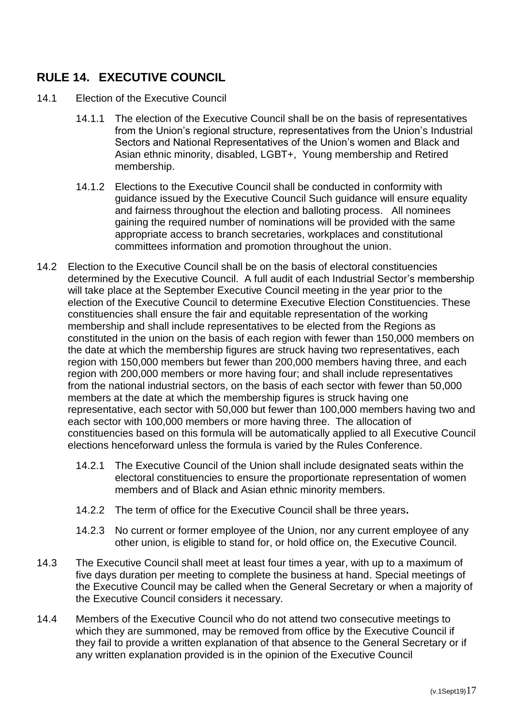# <span id="page-17-0"></span>**RULE 14. EXECUTIVE COUNCIL**

- 14.1 Election of the Executive Council
	- 14.1.1 The election of the Executive Council shall be on the basis of representatives from the Union's regional structure, representatives from the Union's Industrial Sectors and National Representatives of the Union's women and Black and Asian ethnic minority, disabled, LGBT+, Young membership and Retired membership.
	- 14.1.2 Elections to the Executive Council shall be conducted in conformity with guidance issued by the Executive Council Such guidance will ensure equality and fairness throughout the election and balloting process. All nominees gaining the required number of nominations will be provided with the same appropriate access to branch secretaries, workplaces and constitutional committees information and promotion throughout the union.
- 14.2 Election to the Executive Council shall be on the basis of electoral constituencies determined by the Executive Council. A full audit of each Industrial Sector's membership will take place at the September Executive Council meeting in the year prior to the election of the Executive Council to determine Executive Election Constituencies. These constituencies shall ensure the fair and equitable representation of the working membership and shall include representatives to be elected from the Regions as constituted in the union on the basis of each region with fewer than 150,000 members on the date at which the membership figures are struck having two representatives, each region with 150,000 members but fewer than 200,000 members having three, and each region with 200,000 members or more having four; and shall include representatives from the national industrial sectors, on the basis of each sector with fewer than 50,000 members at the date at which the membership figures is struck having one representative, each sector with 50,000 but fewer than 100,000 members having two and each sector with 100,000 members or more having three. The allocation of constituencies based on this formula will be automatically applied to all Executive Council elections henceforward unless the formula is varied by the Rules Conference.
	- 14.2.1 The Executive Council of the Union shall include designated seats within the electoral constituencies to ensure the proportionate representation of women members and of Black and Asian ethnic minority members.
	- 14.2.2 The term of office for the Executive Council shall be three years**.**
	- 14.2.3 No current or former employee of the Union, nor any current employee of any other union, is eligible to stand for, or hold office on, the Executive Council.
- 14.3 The Executive Council shall meet at least four times a year, with up to a maximum of five days duration per meeting to complete the business at hand. Special meetings of the Executive Council may be called when the General Secretary or when a majority of the Executive Council considers it necessary.
- 14.4 Members of the Executive Council who do not attend two consecutive meetings to which they are summoned, may be removed from office by the Executive Council if they fail to provide a written explanation of that absence to the General Secretary or if any written explanation provided is in the opinion of the Executive Council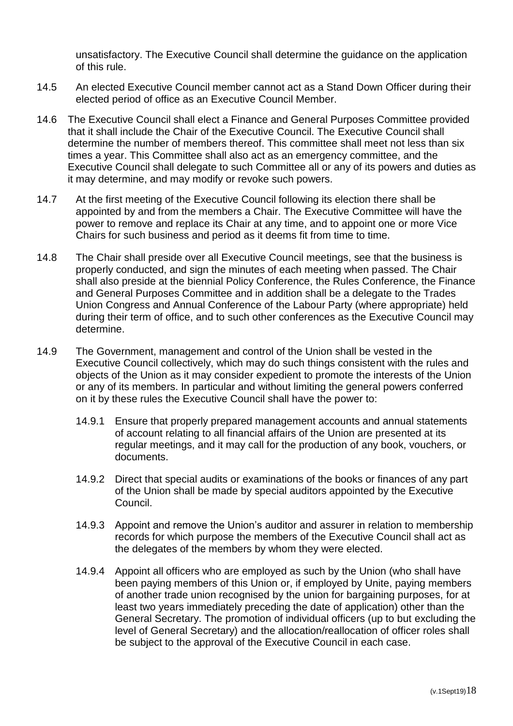unsatisfactory. The Executive Council shall determine the guidance on the application of this rule.

- 14.5 An elected Executive Council member cannot act as a Stand Down Officer during their elected period of office as an Executive Council Member.
- 14.6 The Executive Council shall elect a Finance and General Purposes Committee provided that it shall include the Chair of the Executive Council. The Executive Council shall determine the number of members thereof. This committee shall meet not less than six times a year. This Committee shall also act as an emergency committee, and the Executive Council shall delegate to such Committee all or any of its powers and duties as it may determine, and may modify or revoke such powers.
- 14.7 At the first meeting of the Executive Council following its election there shall be appointed by and from the members a Chair. The Executive Committee will have the power to remove and replace its Chair at any time, and to appoint one or more Vice Chairs for such business and period as it deems fit from time to time.
- 14.8 The Chair shall preside over all Executive Council meetings, see that the business is properly conducted, and sign the minutes of each meeting when passed. The Chair shall also preside at the biennial Policy Conference, the Rules Conference, the Finance and General Purposes Committee and in addition shall be a delegate to the Trades Union Congress and Annual Conference of the Labour Party (where appropriate) held during their term of office, and to such other conferences as the Executive Council may determine.
- 14.9 The Government, management and control of the Union shall be vested in the Executive Council collectively, which may do such things consistent with the rules and objects of the Union as it may consider expedient to promote the interests of the Union or any of its members. In particular and without limiting the general powers conferred on it by these rules the Executive Council shall have the power to:
	- 14.9.1 Ensure that properly prepared management accounts and annual statements of account relating to all financial affairs of the Union are presented at its regular meetings, and it may call for the production of any book, vouchers, or documents.
	- 14.9.2 Direct that special audits or examinations of the books or finances of any part of the Union shall be made by special auditors appointed by the Executive Council.
	- 14.9.3 Appoint and remove the Union's auditor and assurer in relation to membership records for which purpose the members of the Executive Council shall act as the delegates of the members by whom they were elected.
	- 14.9.4 Appoint all officers who are employed as such by the Union (who shall have been paying members of this Union or, if employed by Unite, paying members of another trade union recognised by the union for bargaining purposes, for at least two years immediately preceding the date of application) other than the General Secretary. The promotion of individual officers (up to but excluding the level of General Secretary) and the allocation/reallocation of officer roles shall be subject to the approval of the Executive Council in each case.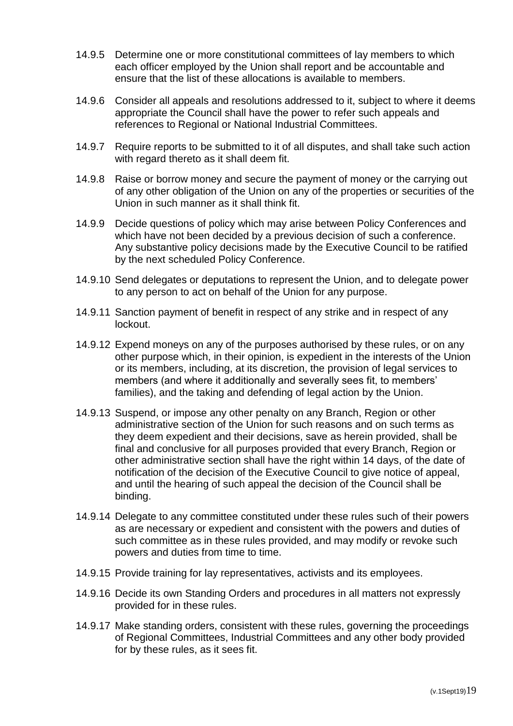- 14.9.5 Determine one or more constitutional committees of lay members to which each officer employed by the Union shall report and be accountable and ensure that the list of these allocations is available to members.
- 14.9.6 Consider all appeals and resolutions addressed to it, subject to where it deems appropriate the Council shall have the power to refer such appeals and references to Regional or National Industrial Committees.
- 14.9.7 Require reports to be submitted to it of all disputes, and shall take such action with regard thereto as it shall deem fit.
- 14.9.8 Raise or borrow money and secure the payment of money or the carrying out of any other obligation of the Union on any of the properties or securities of the Union in such manner as it shall think fit.
- 14.9.9 Decide questions of policy which may arise between Policy Conferences and which have not been decided by a previous decision of such a conference. Any substantive policy decisions made by the Executive Council to be ratified by the next scheduled Policy Conference.
- 14.9.10 Send delegates or deputations to represent the Union, and to delegate power to any person to act on behalf of the Union for any purpose.
- 14.9.11 Sanction payment of benefit in respect of any strike and in respect of any lockout.
- 14.9.12 Expend moneys on any of the purposes authorised by these rules, or on any other purpose which, in their opinion, is expedient in the interests of the Union or its members, including, at its discretion, the provision of legal services to members (and where it additionally and severally sees fit, to members' families), and the taking and defending of legal action by the Union.
- 14.9.13 Suspend, or impose any other penalty on any Branch, Region or other administrative section of the Union for such reasons and on such terms as they deem expedient and their decisions, save as herein provided, shall be final and conclusive for all purposes provided that every Branch, Region or other administrative section shall have the right within 14 days, of the date of notification of the decision of the Executive Council to give notice of appeal, and until the hearing of such appeal the decision of the Council shall be binding.
- 14.9.14 Delegate to any committee constituted under these rules such of their powers as are necessary or expedient and consistent with the powers and duties of such committee as in these rules provided, and may modify or revoke such powers and duties from time to time.
- 14.9.15 Provide training for lay representatives, activists and its employees.
- 14.9.16 Decide its own Standing Orders and procedures in all matters not expressly provided for in these rules.
- 14.9.17 Make standing orders, consistent with these rules, governing the proceedings of Regional Committees, Industrial Committees and any other body provided for by these rules, as it sees fit.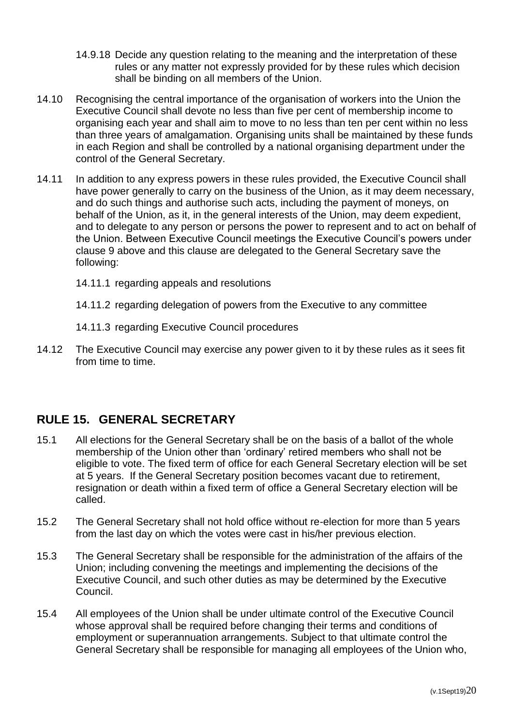- 14.9.18 Decide any question relating to the meaning and the interpretation of these rules or any matter not expressly provided for by these rules which decision shall be binding on all members of the Union.
- 14.10 Recognising the central importance of the organisation of workers into the Union the Executive Council shall devote no less than five per cent of membership income to organising each year and shall aim to move to no less than ten per cent within no less than three years of amalgamation. Organising units shall be maintained by these funds in each Region and shall be controlled by a national organising department under the control of the General Secretary.
- 14.11 In addition to any express powers in these rules provided, the Executive Council shall have power generally to carry on the business of the Union, as it may deem necessary, and do such things and authorise such acts, including the payment of moneys, on behalf of the Union, as it, in the general interests of the Union, may deem expedient, and to delegate to any person or persons the power to represent and to act on behalf of the Union. Between Executive Council meetings the Executive Council's powers under clause 9 above and this clause are delegated to the General Secretary save the following:
	- 14.11.1 regarding appeals and resolutions
	- 14.11.2 regarding delegation of powers from the Executive to any committee
	- 14.11.3 regarding Executive Council procedures
- 14.12 The Executive Council may exercise any power given to it by these rules as it sees fit from time to time.

## <span id="page-20-0"></span>**RULE 15. GENERAL SECRETARY**

- 15.1 All elections for the General Secretary shall be on the basis of a ballot of the whole membership of the Union other than 'ordinary' retired members who shall not be eligible to vote. The fixed term of office for each General Secretary election will be set at 5 years. If the General Secretary position becomes vacant due to retirement, resignation or death within a fixed term of office a General Secretary election will be called.
- 15.2 The General Secretary shall not hold office without re-election for more than 5 years from the last day on which the votes were cast in his/her previous election.
- 15.3 The General Secretary shall be responsible for the administration of the affairs of the Union; including convening the meetings and implementing the decisions of the Executive Council, and such other duties as may be determined by the Executive Council.
- 15.4 All employees of the Union shall be under ultimate control of the Executive Council whose approval shall be required before changing their terms and conditions of employment or superannuation arrangements. Subject to that ultimate control the General Secretary shall be responsible for managing all employees of the Union who,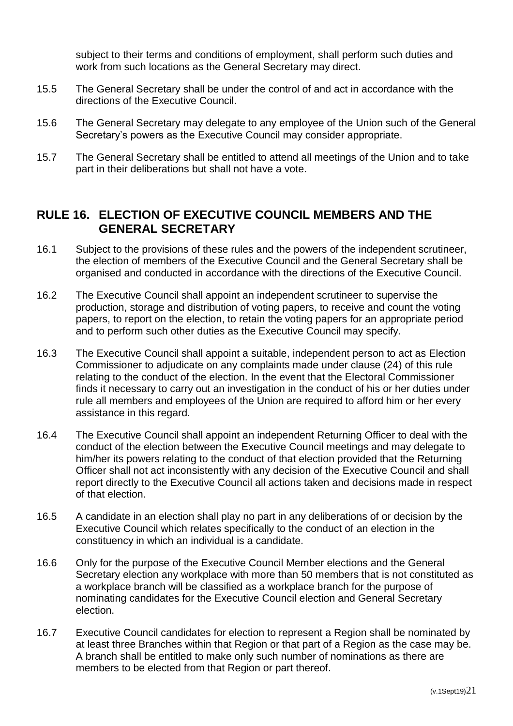subject to their terms and conditions of employment, shall perform such duties and work from such locations as the General Secretary may direct.

- 15.5 The General Secretary shall be under the control of and act in accordance with the directions of the Executive Council.
- 15.6 The General Secretary may delegate to any employee of the Union such of the General Secretary's powers as the Executive Council may consider appropriate.
- 15.7 The General Secretary shall be entitled to attend all meetings of the Union and to take part in their deliberations but shall not have a vote.

## <span id="page-21-0"></span>**RULE 16. ELECTION OF EXECUTIVE COUNCIL MEMBERS AND THE GENERAL SECRETARY**

- 16.1 Subject to the provisions of these rules and the powers of the independent scrutineer, the election of members of the Executive Council and the General Secretary shall be organised and conducted in accordance with the directions of the Executive Council.
- 16.2 The Executive Council shall appoint an independent scrutineer to supervise the production, storage and distribution of voting papers, to receive and count the voting papers, to report on the election, to retain the voting papers for an appropriate period and to perform such other duties as the Executive Council may specify.
- 16.3 The Executive Council shall appoint a suitable, independent person to act as Election Commissioner to adjudicate on any complaints made under clause (24) of this rule relating to the conduct of the election. In the event that the Electoral Commissioner finds it necessary to carry out an investigation in the conduct of his or her duties under rule all members and employees of the Union are required to afford him or her every assistance in this regard.
- 16.4 The Executive Council shall appoint an independent Returning Officer to deal with the conduct of the election between the Executive Council meetings and may delegate to him/her its powers relating to the conduct of that election provided that the Returning Officer shall not act inconsistently with any decision of the Executive Council and shall report directly to the Executive Council all actions taken and decisions made in respect of that election.
- 16.5 A candidate in an election shall play no part in any deliberations of or decision by the Executive Council which relates specifically to the conduct of an election in the constituency in which an individual is a candidate.
- 16.6 Only for the purpose of the Executive Council Member elections and the General Secretary election any workplace with more than 50 members that is not constituted as a workplace branch will be classified as a workplace branch for the purpose of nominating candidates for the Executive Council election and General Secretary election.
- 16.7 Executive Council candidates for election to represent a Region shall be nominated by at least three Branches within that Region or that part of a Region as the case may be. A branch shall be entitled to make only such number of nominations as there are members to be elected from that Region or part thereof.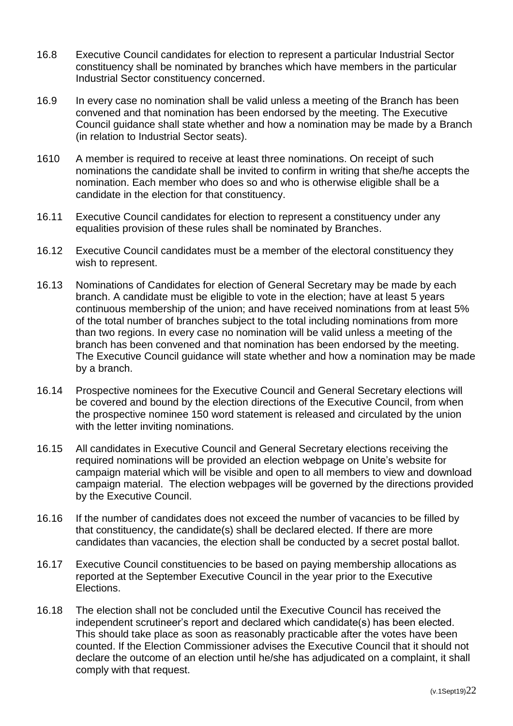- 16.8 Executive Council candidates for election to represent a particular Industrial Sector constituency shall be nominated by branches which have members in the particular Industrial Sector constituency concerned.
- 16.9 In every case no nomination shall be valid unless a meeting of the Branch has been convened and that nomination has been endorsed by the meeting. The Executive Council guidance shall state whether and how a nomination may be made by a Branch (in relation to Industrial Sector seats).
- 1610 A member is required to receive at least three nominations. On receipt of such nominations the candidate shall be invited to confirm in writing that she/he accepts the nomination. Each member who does so and who is otherwise eligible shall be a candidate in the election for that constituency.
- 16.11 Executive Council candidates for election to represent a constituency under any equalities provision of these rules shall be nominated by Branches.
- 16.12 Executive Council candidates must be a member of the electoral constituency they wish to represent.
- 16.13 Nominations of Candidates for election of General Secretary may be made by each branch. A candidate must be eligible to vote in the election; have at least 5 years continuous membership of the union; and have received nominations from at least 5% of the total number of branches subject to the total including nominations from more than two regions. In every case no nomination will be valid unless a meeting of the branch has been convened and that nomination has been endorsed by the meeting. The Executive Council guidance will state whether and how a nomination may be made by a branch.
- 16.14 Prospective nominees for the Executive Council and General Secretary elections will be covered and bound by the election directions of the Executive Council, from when the prospective nominee 150 word statement is released and circulated by the union with the letter inviting nominations.
- 16.15 All candidates in Executive Council and General Secretary elections receiving the required nominations will be provided an election webpage on Unite's website for campaign material which will be visible and open to all members to view and download campaign material. The election webpages will be governed by the directions provided by the Executive Council.
- 16.16 If the number of candidates does not exceed the number of vacancies to be filled by that constituency, the candidate(s) shall be declared elected. If there are more candidates than vacancies, the election shall be conducted by a secret postal ballot.
- 16.17 Executive Council constituencies to be based on paying membership allocations as reported at the September Executive Council in the year prior to the Executive Elections.
- 16.18 The election shall not be concluded until the Executive Council has received the independent scrutineer's report and declared which candidate(s) has been elected. This should take place as soon as reasonably practicable after the votes have been counted. If the Election Commissioner advises the Executive Council that it should not declare the outcome of an election until he/she has adjudicated on a complaint, it shall comply with that request.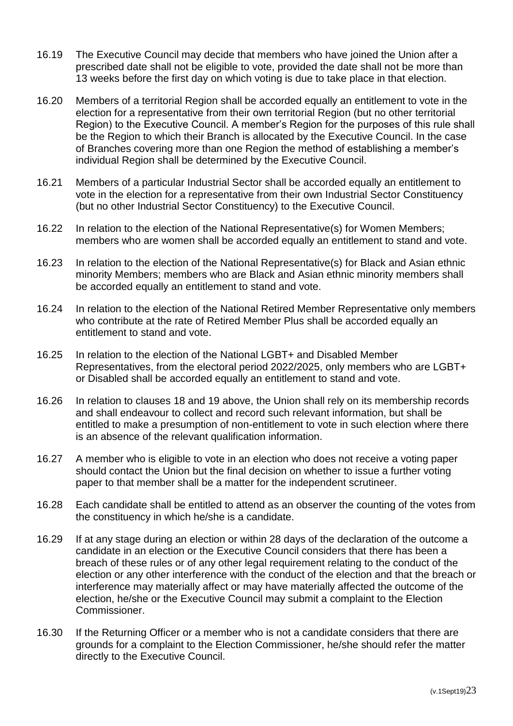- 16.19 The Executive Council may decide that members who have joined the Union after a prescribed date shall not be eligible to vote, provided the date shall not be more than 13 weeks before the first day on which voting is due to take place in that election.
- 16.20 Members of a territorial Region shall be accorded equally an entitlement to vote in the election for a representative from their own territorial Region (but no other territorial Region) to the Executive Council. A member's Region for the purposes of this rule shall be the Region to which their Branch is allocated by the Executive Council. In the case of Branches covering more than one Region the method of establishing a member's individual Region shall be determined by the Executive Council.
- 16.21 Members of a particular Industrial Sector shall be accorded equally an entitlement to vote in the election for a representative from their own Industrial Sector Constituency (but no other Industrial Sector Constituency) to the Executive Council.
- 16.22 In relation to the election of the National Representative(s) for Women Members; members who are women shall be accorded equally an entitlement to stand and vote.
- 16.23 In relation to the election of the National Representative(s) for Black and Asian ethnic minority Members; members who are Black and Asian ethnic minority members shall be accorded equally an entitlement to stand and vote.
- 16.24 In relation to the election of the National Retired Member Representative only members who contribute at the rate of Retired Member Plus shall be accorded equally an entitlement to stand and vote.
- 16.25 In relation to the election of the National LGBT+ and Disabled Member Representatives, from the electoral period 2022/2025, only members who are LGBT+ or Disabled shall be accorded equally an entitlement to stand and vote.
- 16.26 In relation to clauses 18 and 19 above, the Union shall rely on its membership records and shall endeavour to collect and record such relevant information, but shall be entitled to make a presumption of non-entitlement to vote in such election where there is an absence of the relevant qualification information.
- 16.27 A member who is eligible to vote in an election who does not receive a voting paper should contact the Union but the final decision on whether to issue a further voting paper to that member shall be a matter for the independent scrutineer.
- 16.28 Each candidate shall be entitled to attend as an observer the counting of the votes from the constituency in which he/she is a candidate.
- 16.29 If at any stage during an election or within 28 days of the declaration of the outcome a candidate in an election or the Executive Council considers that there has been a breach of these rules or of any other legal requirement relating to the conduct of the election or any other interference with the conduct of the election and that the breach or interference may materially affect or may have materially affected the outcome of the election, he/she or the Executive Council may submit a complaint to the Election Commissioner.
- 16.30 If the Returning Officer or a member who is not a candidate considers that there are grounds for a complaint to the Election Commissioner, he/she should refer the matter directly to the Executive Council.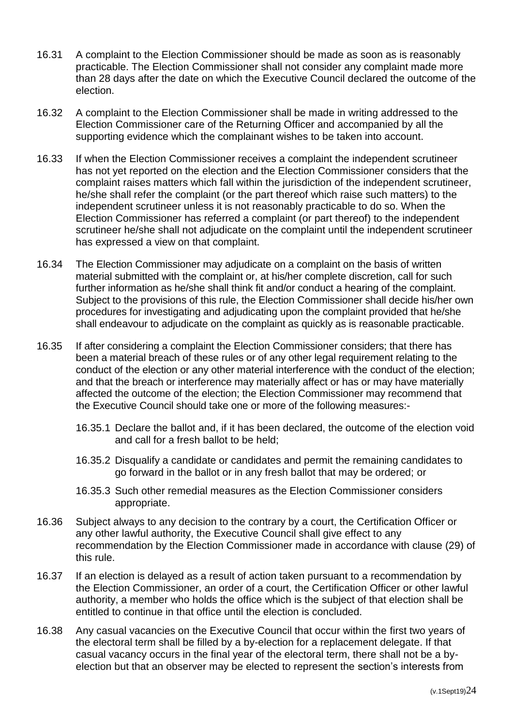- 16.31 A complaint to the Election Commissioner should be made as soon as is reasonably practicable. The Election Commissioner shall not consider any complaint made more than 28 days after the date on which the Executive Council declared the outcome of the election.
- 16.32 A complaint to the Election Commissioner shall be made in writing addressed to the Election Commissioner care of the Returning Officer and accompanied by all the supporting evidence which the complainant wishes to be taken into account.
- 16.33 If when the Election Commissioner receives a complaint the independent scrutineer has not yet reported on the election and the Election Commissioner considers that the complaint raises matters which fall within the jurisdiction of the independent scrutineer, he/she shall refer the complaint (or the part thereof which raise such matters) to the independent scrutineer unless it is not reasonably practicable to do so. When the Election Commissioner has referred a complaint (or part thereof) to the independent scrutineer he/she shall not adjudicate on the complaint until the independent scrutineer has expressed a view on that complaint.
- 16.34 The Election Commissioner may adjudicate on a complaint on the basis of written material submitted with the complaint or, at his/her complete discretion, call for such further information as he/she shall think fit and/or conduct a hearing of the complaint. Subject to the provisions of this rule, the Election Commissioner shall decide his/her own procedures for investigating and adjudicating upon the complaint provided that he/she shall endeavour to adjudicate on the complaint as quickly as is reasonable practicable.
- 16.35 If after considering a complaint the Election Commissioner considers; that there has been a material breach of these rules or of any other legal requirement relating to the conduct of the election or any other material interference with the conduct of the election; and that the breach or interference may materially affect or has or may have materially affected the outcome of the election; the Election Commissioner may recommend that the Executive Council should take one or more of the following measures:-
	- 16.35.1 Declare the ballot and, if it has been declared, the outcome of the election void and call for a fresh ballot to be held;
	- 16.35.2 Disqualify a candidate or candidates and permit the remaining candidates to go forward in the ballot or in any fresh ballot that may be ordered; or
	- 16.35.3 Such other remedial measures as the Election Commissioner considers appropriate.
- 16.36 Subject always to any decision to the contrary by a court, the Certification Officer or any other lawful authority, the Executive Council shall give effect to any recommendation by the Election Commissioner made in accordance with clause (29) of this rule.
- 16.37 If an election is delayed as a result of action taken pursuant to a recommendation by the Election Commissioner, an order of a court, the Certification Officer or other lawful authority, a member who holds the office which is the subject of that election shall be entitled to continue in that office until the election is concluded.
- 16.38 Any casual vacancies on the Executive Council that occur within the first two years of the electoral term shall be filled by a by-election for a replacement delegate. If that casual vacancy occurs in the final year of the electoral term, there shall not be a byelection but that an observer may be elected to represent the section's interests from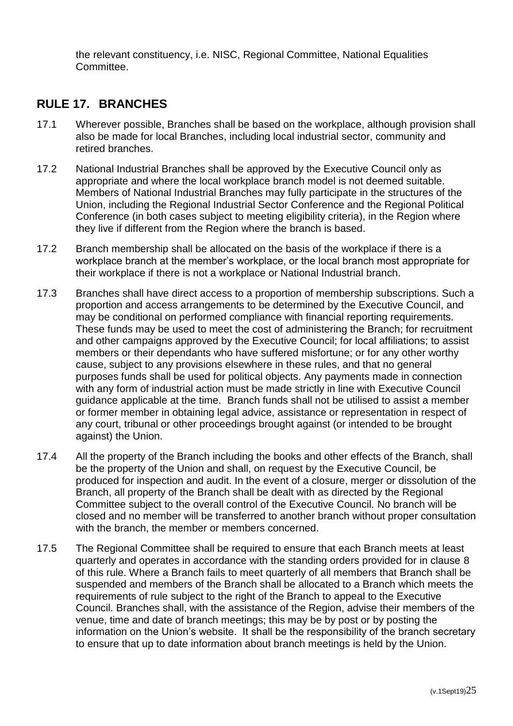the relevant constituency, i.e. NISC, Regional Committee, National Equalities Committee.

## <span id="page-25-0"></span>**RULE 17. BRANCHES**

- 17.1 Wherever possible, Branches shall be based on the workplace, although provision shall also be made for local Branches, including local industrial sector, community and retired branches.
- 17.2 National Industrial Branches shall be approved by the Executive Council only as appropriate and where the local workplace branch model is not deemed suitable. Members of National Industrial Branches may fully participate in the structures of the Union, including the Regional Industrial Sector Conference and the Regional Political Conference (in both cases subject to meeting eligibility criteria), in the Region where they live if different from the Region where the branch is based.
- 17.2 Branch membership shall be allocated on the basis of the workplace if there is a workplace branch at the member's workplace, or the local branch most appropriate for their workplace if there is not a workplace or National Industrial branch.
- 17.3 Branches shall have direct access to a proportion of membership subscriptions. Such a proportion and access arrangements to be determined by the Executive Council, and may be conditional on performed compliance with financial reporting requirements. These funds may be used to meet the cost of administering the Branch; for recruitment and other campaigns approved by the Executive Council; for local affiliations; to assist members or their dependants who have suffered misfortune; or for any other worthy cause, subject to any provisions elsewhere in these rules, and that no general purposes funds shall be used for political objects. Any payments made in connection with any form of industrial action must be made strictly in line with Executive Council guidance applicable at the time. Branch funds shall not be utilised to assist a member or former member in obtaining legal advice, assistance or representation in respect of any court, tribunal or other proceedings brought against (or intended to be brought against) the Union.
- 17.4 All the property of the Branch including the books and other effects of the Branch, shall be the property of the Union and shall, on request by the Executive Council, be produced for inspection and audit. In the event of a closure, merger or dissolution of the Branch, all property of the Branch shall be dealt with as directed by the Regional Committee subject to the overall control of the Executive Council. No branch will be closed and no member will be transferred to another branch without proper consultation with the branch, the member or members concerned.
- 17.5 The Regional Committee shall be required to ensure that each Branch meets at least quarterly and operates in accordance with the standing orders provided for in clause 8 of this rule. Where a Branch fails to meet quarterly of all members that Branch shall be suspended and members of the Branch shall be allocated to a Branch which meets the requirements of rule subject to the right of the Branch to appeal to the Executive Council. Branches shall, with the assistance of the Region, advise their members of the venue, time and date of branch meetings; this may be by post or by posting the information on the Union's website. It shall be the responsibility of the branch secretary to ensure that up to date information about branch meetings is held by the Union.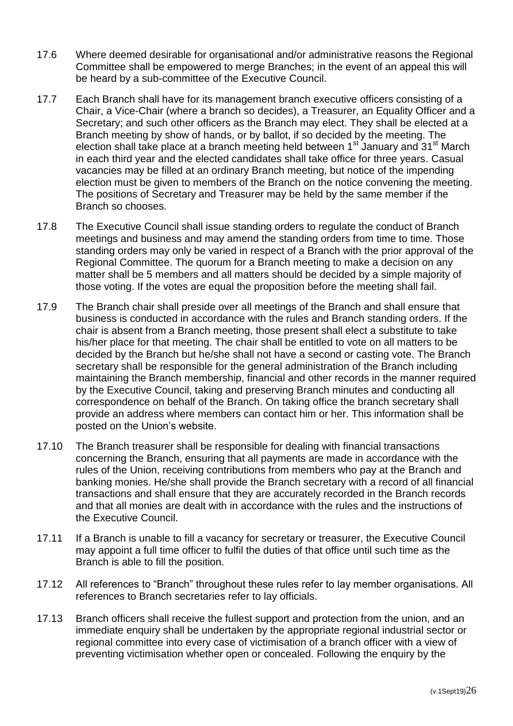- 17.6 Where deemed desirable for organisational and/or administrative reasons the Regional Committee shall be empowered to merge Branches; in the event of an appeal this will be heard by a sub-committee of the Executive Council.
- 17.7 Each Branch shall have for its management branch executive officers consisting of a Chair, a Vice-Chair (where a branch so decides), a Treasurer, an Equality Officer and a Secretary; and such other officers as the Branch may elect. They shall be elected at a Branch meeting by show of hands, or by ballot, if so decided by the meeting. The election shall take place at a branch meeting held between 1<sup>st</sup> January and 31<sup>st</sup> March in each third year and the elected candidates shall take office for three years. Casual vacancies may be filled at an ordinary Branch meeting, but notice of the impending election must be given to members of the Branch on the notice convening the meeting. The positions of Secretary and Treasurer may be held by the same member if the Branch so chooses.
- 17.8 The Executive Council shall issue standing orders to regulate the conduct of Branch meetings and business and may amend the standing orders from time to time. Those standing orders may only be varied in respect of a Branch with the prior approval of the Regional Committee. The quorum for a Branch meeting to make a decision on any matter shall be 5 members and all matters should be decided by a simple majority of those voting. If the votes are equal the proposition before the meeting shall fail.
- 17.9 The Branch chair shall preside over all meetings of the Branch and shall ensure that business is conducted in accordance with the rules and Branch standing orders. If the chair is absent from a Branch meeting, those present shall elect a substitute to take his/her place for that meeting. The chair shall be entitled to vote on all matters to be decided by the Branch but he/she shall not have a second or casting vote. The Branch secretary shall be responsible for the general administration of the Branch including maintaining the Branch membership, financial and other records in the manner required by the Executive Council, taking and preserving Branch minutes and conducting all correspondence on behalf of the Branch. On taking office the branch secretary shall provide an address where members can contact him or her. This information shall be posted on the Union's website.
- 17.10 The Branch treasurer shall be responsible for dealing with financial transactions concerning the Branch, ensuring that all payments are made in accordance with the rules of the Union, receiving contributions from members who pay at the Branch and banking monies. He/she shall provide the Branch secretary with a record of all financial transactions and shall ensure that they are accurately recorded in the Branch records and that all monies are dealt with in accordance with the rules and the instructions of the Executive Council.
- 17.11 If a Branch is unable to fill a vacancy for secretary or treasurer, the Executive Council may appoint a full time officer to fulfil the duties of that office until such time as the Branch is able to fill the position.
- 17.12 All references to "Branch" throughout these rules refer to lay member organisations. All references to Branch secretaries refer to lay officials.
- 17.13 Branch officers shall receive the fullest support and protection from the union, and an immediate enquiry shall be undertaken by the appropriate regional industrial sector or regional committee into every case of victimisation of a branch officer with a view of preventing victimisation whether open or concealed. Following the enquiry by the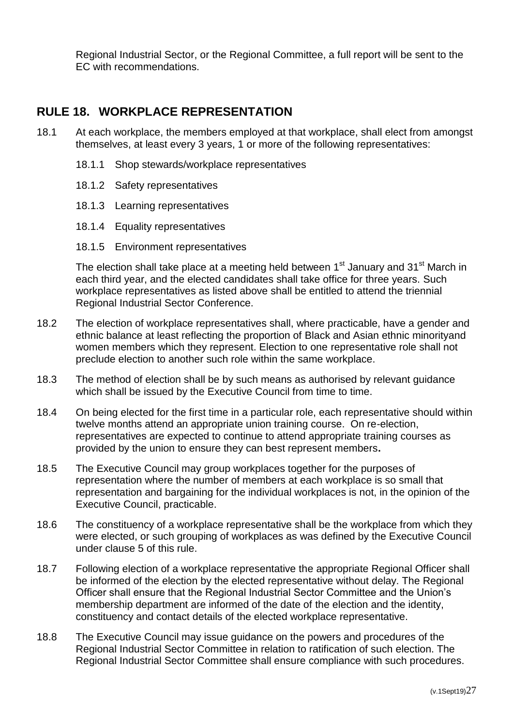Regional Industrial Sector, or the Regional Committee, a full report will be sent to the EC with recommendations.

## <span id="page-27-0"></span>**RULE 18. WORKPLACE REPRESENTATION**

- 18.1 At each workplace, the members employed at that workplace, shall elect from amongst themselves, at least every 3 years, 1 or more of the following representatives:
	- 18.1.1 Shop stewards/workplace representatives
	- 18.1.2 Safety representatives
	- 18.1.3 Learning representatives
	- 18.1.4 Equality representatives
	- 18.1.5 Environment representatives

The election shall take place at a meeting held between  $1<sup>st</sup>$  January and  $31<sup>st</sup>$  March in each third year, and the elected candidates shall take office for three years. Such workplace representatives as listed above shall be entitled to attend the triennial Regional Industrial Sector Conference.

- 18.2 The election of workplace representatives shall, where practicable, have a gender and ethnic balance at least reflecting the proportion of Black and Asian ethnic minorityand women members which they represent. Election to one representative role shall not preclude election to another such role within the same workplace.
- 18.3 The method of election shall be by such means as authorised by relevant guidance which shall be issued by the Executive Council from time to time.
- 18.4 On being elected for the first time in a particular role, each representative should within twelve months attend an appropriate union training course. On re-election, representatives are expected to continue to attend appropriate training courses as provided by the union to ensure they can best represent members**.**
- 18.5 The Executive Council may group workplaces together for the purposes of representation where the number of members at each workplace is so small that representation and bargaining for the individual workplaces is not, in the opinion of the Executive Council, practicable.
- 18.6 The constituency of a workplace representative shall be the workplace from which they were elected, or such grouping of workplaces as was defined by the Executive Council under clause 5 of this rule.
- 18.7 Following election of a workplace representative the appropriate Regional Officer shall be informed of the election by the elected representative without delay. The Regional Officer shall ensure that the Regional Industrial Sector Committee and the Union's membership department are informed of the date of the election and the identity, constituency and contact details of the elected workplace representative.
- 18.8 The Executive Council may issue guidance on the powers and procedures of the Regional Industrial Sector Committee in relation to ratification of such election. The Regional Industrial Sector Committee shall ensure compliance with such procedures.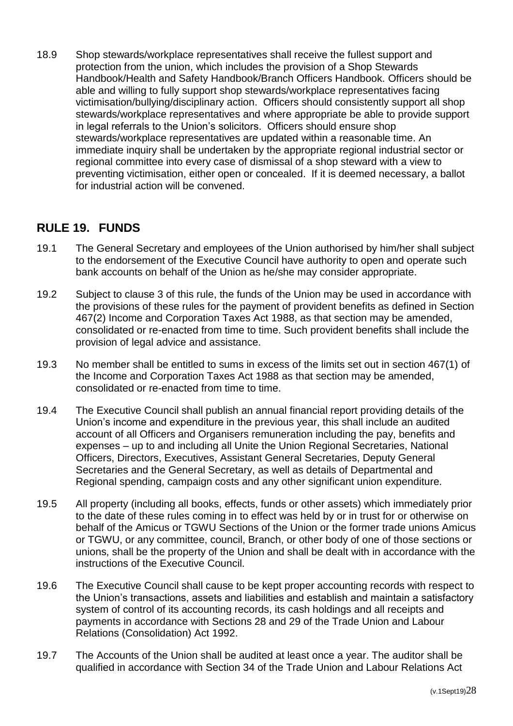18.9 Shop stewards/workplace representatives shall receive the fullest support and protection from the union, which includes the provision of a Shop Stewards Handbook/Health and Safety Handbook/Branch Officers Handbook. Officers should be able and willing to fully support shop stewards/workplace representatives facing victimisation/bullying/disciplinary action. Officers should consistently support all shop stewards/workplace representatives and where appropriate be able to provide support in legal referrals to the Union's solicitors. Officers should ensure shop stewards/workplace representatives are updated within a reasonable time. An immediate inquiry shall be undertaken by the appropriate regional industrial sector or regional committee into every case of dismissal of a shop steward with a view to preventing victimisation, either open or concealed. If it is deemed necessary, a ballot for industrial action will be convened.

## <span id="page-28-0"></span>**RULE 19. FUNDS**

- 19.1 The General Secretary and employees of the Union authorised by him/her shall subject to the endorsement of the Executive Council have authority to open and operate such bank accounts on behalf of the Union as he/she may consider appropriate.
- 19.2 Subject to clause 3 of this rule, the funds of the Union may be used in accordance with the provisions of these rules for the payment of provident benefits as defined in Section 467(2) Income and Corporation Taxes Act 1988, as that section may be amended, consolidated or re-enacted from time to time. Such provident benefits shall include the provision of legal advice and assistance.
- 19.3 No member shall be entitled to sums in excess of the limits set out in section 467(1) of the Income and Corporation Taxes Act 1988 as that section may be amended, consolidated or re-enacted from time to time.
- 19.4 The Executive Council shall publish an annual financial report providing details of the Union's income and expenditure in the previous year, this shall include an audited account of all Officers and Organisers remuneration including the pay, benefits and expenses – up to and including all Unite the Union Regional Secretaries, National Officers, Directors, Executives, Assistant General Secretaries, Deputy General Secretaries and the General Secretary, as well as details of Departmental and Regional spending, campaign costs and any other significant union expenditure.
- 19.5 All property (including all books, effects, funds or other assets) which immediately prior to the date of these rules coming in to effect was held by or in trust for or otherwise on behalf of the Amicus or TGWU Sections of the Union or the former trade unions Amicus or TGWU, or any committee, council, Branch, or other body of one of those sections or unions, shall be the property of the Union and shall be dealt with in accordance with the instructions of the Executive Council.
- 19.6 The Executive Council shall cause to be kept proper accounting records with respect to the Union's transactions, assets and liabilities and establish and maintain a satisfactory system of control of its accounting records, its cash holdings and all receipts and payments in accordance with Sections 28 and 29 of the Trade Union and Labour Relations (Consolidation) Act 1992.
- 19.7 The Accounts of the Union shall be audited at least once a year. The auditor shall be qualified in accordance with Section 34 of the Trade Union and Labour Relations Act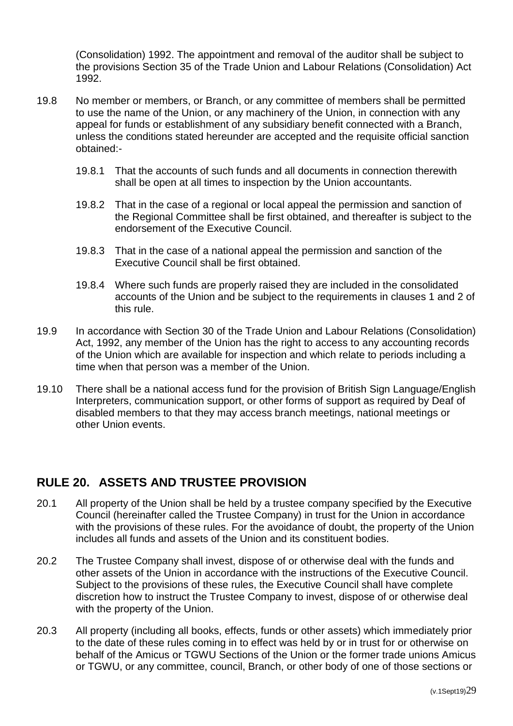(Consolidation) 1992. The appointment and removal of the auditor shall be subject to the provisions Section 35 of the Trade Union and Labour Relations (Consolidation) Act 1992.

- 19.8 No member or members, or Branch, or any committee of members shall be permitted to use the name of the Union, or any machinery of the Union, in connection with any appeal for funds or establishment of any subsidiary benefit connected with a Branch, unless the conditions stated hereunder are accepted and the requisite official sanction obtained:-
	- 19.8.1 That the accounts of such funds and all documents in connection therewith shall be open at all times to inspection by the Union accountants.
	- 19.8.2 That in the case of a regional or local appeal the permission and sanction of the Regional Committee shall be first obtained, and thereafter is subject to the endorsement of the Executive Council.
	- 19.8.3 That in the case of a national appeal the permission and sanction of the Executive Council shall be first obtained.
	- 19.8.4 Where such funds are properly raised they are included in the consolidated accounts of the Union and be subject to the requirements in clauses 1 and 2 of this rule.
- 19.9 In accordance with Section 30 of the Trade Union and Labour Relations (Consolidation) Act, 1992, any member of the Union has the right to access to any accounting records of the Union which are available for inspection and which relate to periods including a time when that person was a member of the Union.
- 19.10 There shall be a national access fund for the provision of British Sign Language/English Interpreters, communication support, or other forms of support as required by Deaf of disabled members to that they may access branch meetings, national meetings or other Union events.

## <span id="page-29-0"></span>**RULE 20. ASSETS AND TRUSTEE PROVISION**

- 20.1 All property of the Union shall be held by a trustee company specified by the Executive Council (hereinafter called the Trustee Company) in trust for the Union in accordance with the provisions of these rules. For the avoidance of doubt, the property of the Union includes all funds and assets of the Union and its constituent bodies.
- 20.2 The Trustee Company shall invest, dispose of or otherwise deal with the funds and other assets of the Union in accordance with the instructions of the Executive Council. Subject to the provisions of these rules, the Executive Council shall have complete discretion how to instruct the Trustee Company to invest, dispose of or otherwise deal with the property of the Union.
- 20.3 All property (including all books, effects, funds or other assets) which immediately prior to the date of these rules coming in to effect was held by or in trust for or otherwise on behalf of the Amicus or TGWU Sections of the Union or the former trade unions Amicus or TGWU, or any committee, council, Branch, or other body of one of those sections or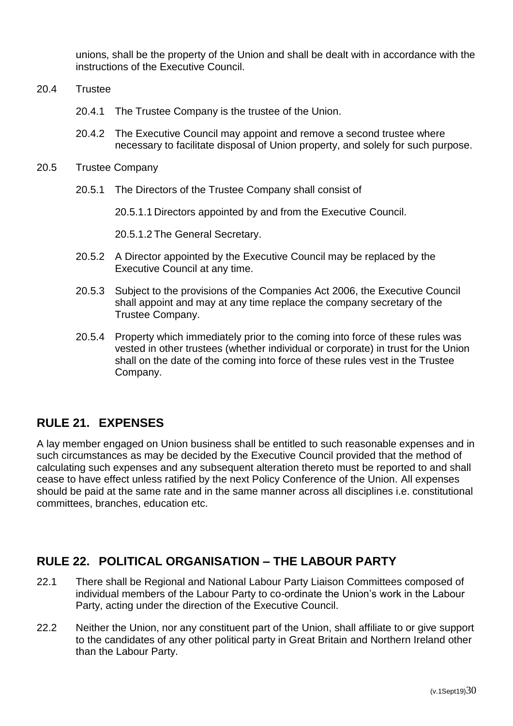unions, shall be the property of the Union and shall be dealt with in accordance with the instructions of the Executive Council.

- 20.4 Trustee
	- 20.4.1 The Trustee Company is the trustee of the Union.
	- 20.4.2 The Executive Council may appoint and remove a second trustee where necessary to facilitate disposal of Union property, and solely for such purpose.
- 20.5 Trustee Company
	- 20.5.1 The Directors of the Trustee Company shall consist of

20.5.1.1 Directors appointed by and from the Executive Council.

20.5.1.2 The General Secretary.

- 20.5.2 A Director appointed by the Executive Council may be replaced by the Executive Council at any time.
- 20.5.3 Subject to the provisions of the Companies Act 2006, the Executive Council shall appoint and may at any time replace the company secretary of the Trustee Company.
- 20.5.4 Property which immediately prior to the coming into force of these rules was vested in other trustees (whether individual or corporate) in trust for the Union shall on the date of the coming into force of these rules vest in the Trustee Company.

## <span id="page-30-0"></span>**RULE 21. EXPENSES**

A lay member engaged on Union business shall be entitled to such reasonable expenses and in such circumstances as may be decided by the Executive Council provided that the method of calculating such expenses and any subsequent alteration thereto must be reported to and shall cease to have effect unless ratified by the next Policy Conference of the Union. All expenses should be paid at the same rate and in the same manner across all disciplines i.e. constitutional committees, branches, education etc.

## <span id="page-30-1"></span>**RULE 22. POLITICAL ORGANISATION – THE LABOUR PARTY**

- 22.1 There shall be Regional and National Labour Party Liaison Committees composed of individual members of the Labour Party to co-ordinate the Union's work in the Labour Party, acting under the direction of the Executive Council.
- 22.2 Neither the Union, nor any constituent part of the Union, shall affiliate to or give support to the candidates of any other political party in Great Britain and Northern Ireland other than the Labour Party.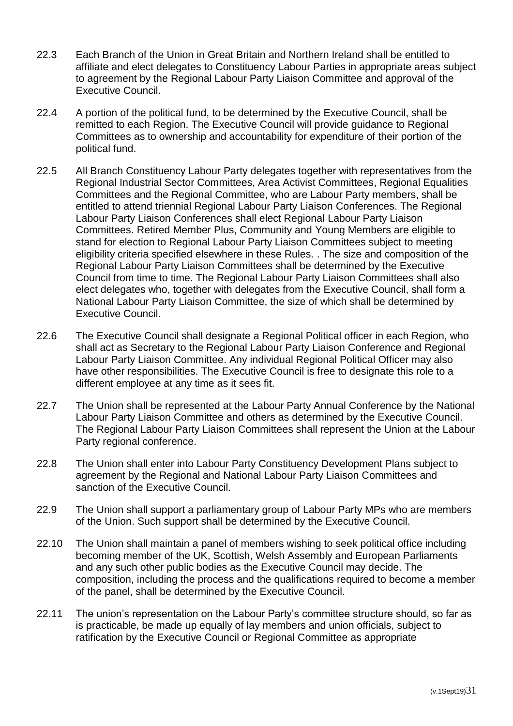- 22.3 Each Branch of the Union in Great Britain and Northern Ireland shall be entitled to affiliate and elect delegates to Constituency Labour Parties in appropriate areas subject to agreement by the Regional Labour Party Liaison Committee and approval of the Executive Council.
- 22.4 A portion of the political fund, to be determined by the Executive Council, shall be remitted to each Region. The Executive Council will provide guidance to Regional Committees as to ownership and accountability for expenditure of their portion of the political fund.
- 22.5 All Branch Constituency Labour Party delegates together with representatives from the Regional Industrial Sector Committees, Area Activist Committees, Regional Equalities Committees and the Regional Committee, who are Labour Party members, shall be entitled to attend triennial Regional Labour Party Liaison Conferences. The Regional Labour Party Liaison Conferences shall elect Regional Labour Party Liaison Committees. Retired Member Plus, Community and Young Members are eligible to stand for election to Regional Labour Party Liaison Committees subject to meeting eligibility criteria specified elsewhere in these Rules. . The size and composition of the Regional Labour Party Liaison Committees shall be determined by the Executive Council from time to time. The Regional Labour Party Liaison Committees shall also elect delegates who, together with delegates from the Executive Council, shall form a National Labour Party Liaison Committee, the size of which shall be determined by Executive Council.
- 22.6 The Executive Council shall designate a Regional Political officer in each Region, who shall act as Secretary to the Regional Labour Party Liaison Conference and Regional Labour Party Liaison Committee. Any individual Regional Political Officer may also have other responsibilities. The Executive Council is free to designate this role to a different employee at any time as it sees fit.
- 22.7 The Union shall be represented at the Labour Party Annual Conference by the National Labour Party Liaison Committee and others as determined by the Executive Council. The Regional Labour Party Liaison Committees shall represent the Union at the Labour Party regional conference.
- 22.8 The Union shall enter into Labour Party Constituency Development Plans subject to agreement by the Regional and National Labour Party Liaison Committees and sanction of the Executive Council.
- 22.9 The Union shall support a parliamentary group of Labour Party MPs who are members of the Union. Such support shall be determined by the Executive Council.
- 22.10 The Union shall maintain a panel of members wishing to seek political office including becoming member of the UK, Scottish, Welsh Assembly and European Parliaments and any such other public bodies as the Executive Council may decide. The composition, including the process and the qualifications required to become a member of the panel, shall be determined by the Executive Council.
- 22.11 The union's representation on the Labour Party's committee structure should, so far as is practicable, be made up equally of lay members and union officials, subject to ratification by the Executive Council or Regional Committee as appropriate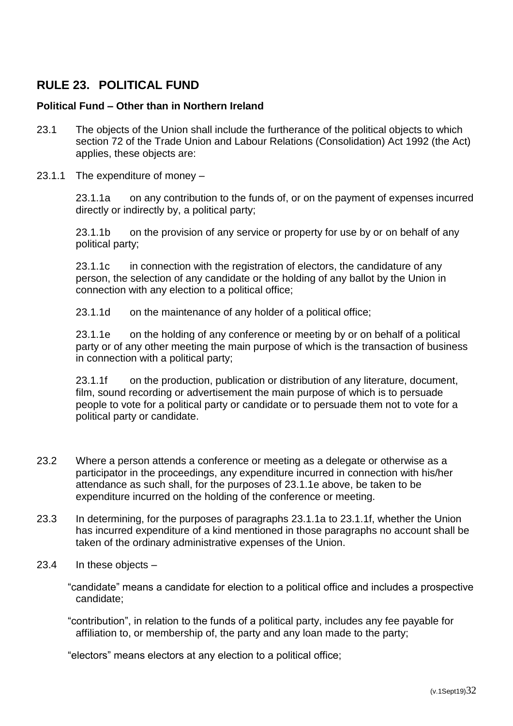## <span id="page-32-0"></span>**RULE 23. POLITICAL FUND**

#### **Political Fund – Other than in Northern Ireland**

- 23.1 The objects of the Union shall include the furtherance of the political objects to which section 72 of the Trade Union and Labour Relations (Consolidation) Act 1992 (the Act) applies, these objects are:
- 23.1.1 The expenditure of money –

23.1.1a on any contribution to the funds of, or on the payment of expenses incurred directly or indirectly by, a political party;

23.1.1b on the provision of any service or property for use by or on behalf of any political party;

23.1.1c in connection with the registration of electors, the candidature of any person, the selection of any candidate or the holding of any ballot by the Union in connection with any election to a political office;

23.1.1d on the maintenance of any holder of a political office;

23.1.1e on the holding of any conference or meeting by or on behalf of a political party or of any other meeting the main purpose of which is the transaction of business in connection with a political party;

23.1.1f on the production, publication or distribution of any literature, document, film, sound recording or advertisement the main purpose of which is to persuade people to vote for a political party or candidate or to persuade them not to vote for a political party or candidate.

- 23.2 Where a person attends a conference or meeting as a delegate or otherwise as a participator in the proceedings, any expenditure incurred in connection with his/her attendance as such shall, for the purposes of 23.1.1e above, be taken to be expenditure incurred on the holding of the conference or meeting.
- 23.3 In determining, for the purposes of paragraphs 23.1.1a to 23.1.1f, whether the Union has incurred expenditure of a kind mentioned in those paragraphs no account shall be taken of the ordinary administrative expenses of the Union.
- 23.4 In these objects
	- "candidate" means a candidate for election to a political office and includes a prospective candidate;

"contribution", in relation to the funds of a political party, includes any fee payable for affiliation to, or membership of, the party and any loan made to the party;

"electors" means electors at any election to a political office;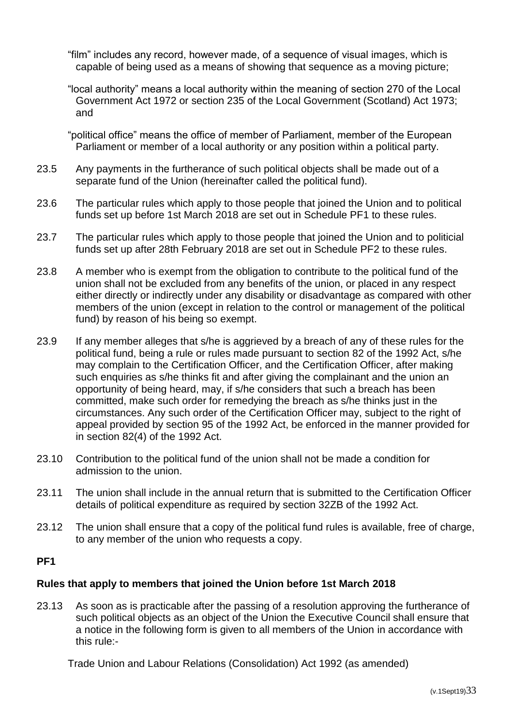"film" includes any record, however made, of a sequence of visual images, which is capable of being used as a means of showing that sequence as a moving picture;

"local authority" means a local authority within the meaning of section 270 of the Local Government Act 1972 or section 235 of the Local Government (Scotland) Act 1973; and

"political office" means the office of member of Parliament, member of the European Parliament or member of a local authority or any position within a political party.

- 23.5 Any payments in the furtherance of such political objects shall be made out of a separate fund of the Union (hereinafter called the political fund).
- 23.6 The particular rules which apply to those people that joined the Union and to political funds set up before 1st March 2018 are set out in Schedule PF1 to these rules.
- 23.7 The particular rules which apply to those people that joined the Union and to politicial funds set up after 28th February 2018 are set out in Schedule PF2 to these rules.
- 23.8 A member who is exempt from the obligation to contribute to the political fund of the union shall not be excluded from any benefits of the union, or placed in any respect either directly or indirectly under any disability or disadvantage as compared with other members of the union (except in relation to the control or management of the political fund) by reason of his being so exempt.
- 23.9 If any member alleges that s/he is aggrieved by a breach of any of these rules for the political fund, being a rule or rules made pursuant to section 82 of the 1992 Act, s/he may complain to the Certification Officer, and the Certification Officer, after making such enquiries as s/he thinks fit and after giving the complainant and the union an opportunity of being heard, may, if s/he considers that such a breach has been committed, make such order for remedying the breach as s/he thinks just in the circumstances. Any such order of the Certification Officer may, subject to the right of appeal provided by section 95 of the 1992 Act, be enforced in the manner provided for in section 82(4) of the 1992 Act.
- 23.10 Contribution to the political fund of the union shall not be made a condition for admission to the union.
- 23.11 The union shall include in the annual return that is submitted to the Certification Officer details of political expenditure as required by section 32ZB of the 1992 Act.
- 23.12 The union shall ensure that a copy of the political fund rules is available, free of charge, to any member of the union who requests a copy.

## **PF1**

#### **Rules that apply to members that joined the Union before 1st March 2018**

23.13 As soon as is practicable after the passing of a resolution approving the furtherance of such political objects as an object of the Union the Executive Council shall ensure that a notice in the following form is given to all members of the Union in accordance with this rule:-

Trade Union and Labour Relations (Consolidation) Act 1992 (as amended)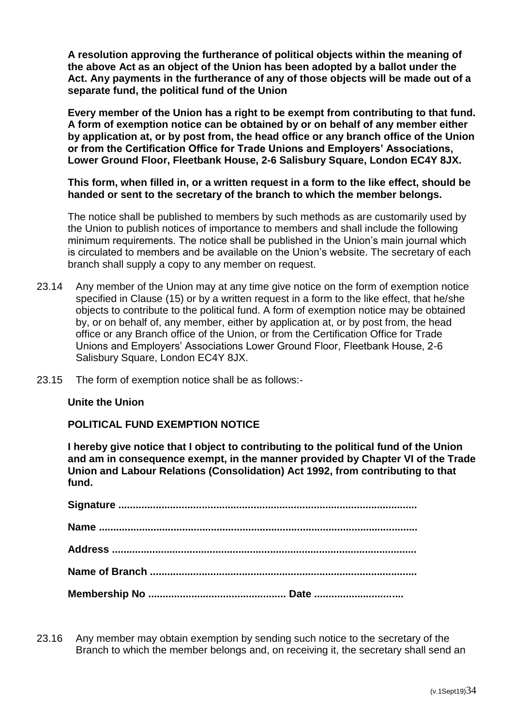**A resolution approving the furtherance of political objects within the meaning of the above Act as an object of the Union has been adopted by a ballot under the Act. Any payments in the furtherance of any of those objects will be made out of a separate fund, the political fund of the Union**

**Every member of the Union has a right to be exempt from contributing to that fund. A form of exemption notice can be obtained by or on behalf of any member either by application at, or by post from, the head office or any branch office of the Union or from the Certification Office for Trade Unions and Employers' Associations, Lower Ground Floor, Fleetbank House, 2-6 Salisbury Square, London EC4Y 8JX.** 

**This form, when filled in, or a written request in a form to the like effect, should be handed or sent to the secretary of the branch to which the member belongs.**

The notice shall be published to members by such methods as are customarily used by the Union to publish notices of importance to members and shall include the following minimum requirements. The notice shall be published in the Union's main journal which is circulated to members and be available on the Union's website. The secretary of each branch shall supply a copy to any member on request.

- 23.14 Any member of the Union may at any time give notice on the form of exemption notice specified in Clause (15) or by a written request in a form to the like effect, that he/she objects to contribute to the political fund. A form of exemption notice may be obtained by, or on behalf of, any member, either by application at, or by post from, the head office or any Branch office of the Union, or from the Certification Office for Trade Unions and Employers' Associations Lower Ground Floor, Fleetbank House, 2-6 Salisbury Square, London EC4Y 8JX.
- 23.15 The form of exemption notice shall be as follows:-

#### **Unite the Union**

#### **POLITICAL FUND EXEMPTION NOTICE**

**I hereby give notice that I object to contributing to the political fund of the Union and am in consequence exempt, in the manner provided by Chapter VI of the Trade Union and Labour Relations (Consolidation) Act 1992, from contributing to that fund.**

23.16 Any member may obtain exemption by sending such notice to the secretary of the Branch to which the member belongs and, on receiving it, the secretary shall send an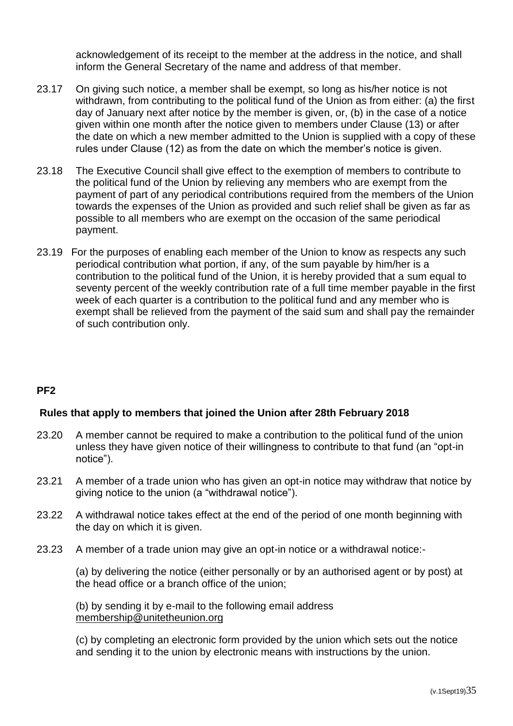acknowledgement of its receipt to the member at the address in the notice, and shall inform the General Secretary of the name and address of that member.

- 23.17 On giving such notice, a member shall be exempt, so long as his/her notice is not withdrawn, from contributing to the political fund of the Union as from either: (a) the first day of January next after notice by the member is given, or, (b) in the case of a notice given within one month after the notice given to members under Clause (13) or after the date on which a new member admitted to the Union is supplied with a copy of these rules under Clause (12) as from the date on which the member's notice is given.
- 23.18 The Executive Council shall give effect to the exemption of members to contribute to the political fund of the Union by relieving any members who are exempt from the payment of part of any periodical contributions required from the members of the Union towards the expenses of the Union as provided and such relief shall be given as far as possible to all members who are exempt on the occasion of the same periodical payment.
- 23.19 For the purposes of enabling each member of the Union to know as respects any such periodical contribution what portion, if any, of the sum payable by him/her is a contribution to the political fund of the Union, it is hereby provided that a sum equal to seventy percent of the weekly contribution rate of a full time member payable in the first week of each quarter is a contribution to the political fund and any member who is exempt shall be relieved from the payment of the said sum and shall pay the remainder of such contribution only.

## **PF2**

#### **Rules that apply to members that joined the Union after 28th February 2018**

- 23.20 A member cannot be required to make a contribution to the political fund of the union unless they have given notice of their willingness to contribute to that fund (an "opt-in notice").
- 23.21 A member of a trade union who has given an opt-in notice may withdraw that notice by giving notice to the union (a "withdrawal notice").
- 23.22 A withdrawal notice takes effect at the end of the period of one month beginning with the day on which it is given.
- 23.23 A member of a trade union may give an opt-in notice or a withdrawal notice:-

(a) by delivering the notice (either personally or by an authorised agent or by post) at the head office or a branch office of the union;

(b) by sending it by e-mail to the following email address [membership@unitetheunion.org](mailto:membership@unitetheunion.org)

(c) by completing an electronic form provided by the union which sets out the notice and sending it to the union by electronic means with instructions by the union.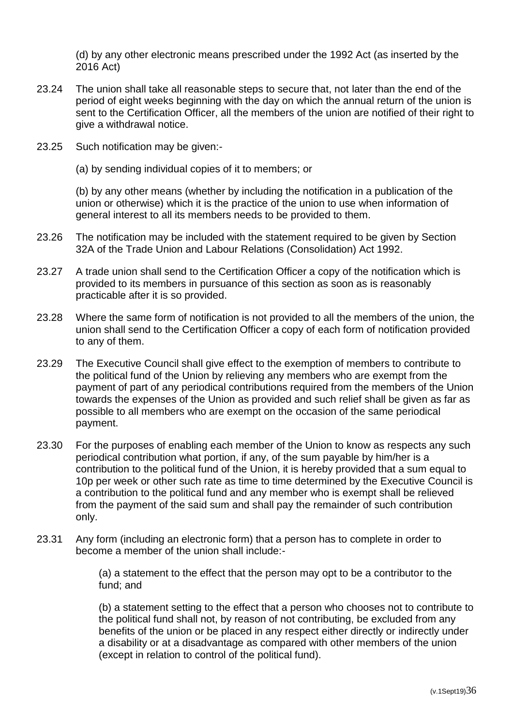(d) by any other electronic means prescribed under the 1992 Act (as inserted by the 2016 Act)

- 23.24 The union shall take all reasonable steps to secure that, not later than the end of the period of eight weeks beginning with the day on which the annual return of the union is sent to the Certification Officer, all the members of the union are notified of their right to give a withdrawal notice.
- 23.25 Such notification may be given:-
	- (a) by sending individual copies of it to members; or

(b) by any other means (whether by including the notification in a publication of the union or otherwise) which it is the practice of the union to use when information of general interest to all its members needs to be provided to them.

- 23.26 The notification may be included with the statement required to be given by Section 32A of the Trade Union and Labour Relations (Consolidation) Act 1992.
- 23.27 A trade union shall send to the Certification Officer a copy of the notification which is provided to its members in pursuance of this section as soon as is reasonably practicable after it is so provided.
- 23.28 Where the same form of notification is not provided to all the members of the union, the union shall send to the Certification Officer a copy of each form of notification provided to any of them.
- 23.29 The Executive Council shall give effect to the exemption of members to contribute to the political fund of the Union by relieving any members who are exempt from the payment of part of any periodical contributions required from the members of the Union towards the expenses of the Union as provided and such relief shall be given as far as possible to all members who are exempt on the occasion of the same periodical payment.
- 23.30 For the purposes of enabling each member of the Union to know as respects any such periodical contribution what portion, if any, of the sum payable by him/her is a contribution to the political fund of the Union, it is hereby provided that a sum equal to 10p per week or other such rate as time to time determined by the Executive Council is a contribution to the political fund and any member who is exempt shall be relieved from the payment of the said sum and shall pay the remainder of such contribution only.
- 23.31 Any form (including an electronic form) that a person has to complete in order to become a member of the union shall include:-

(a) a statement to the effect that the person may opt to be a contributor to the fund; and

(b) a statement setting to the effect that a person who chooses not to contribute to the political fund shall not, by reason of not contributing, be excluded from any benefits of the union or be placed in any respect either directly or indirectly under a disability or at a disadvantage as compared with other members of the union (except in relation to control of the political fund).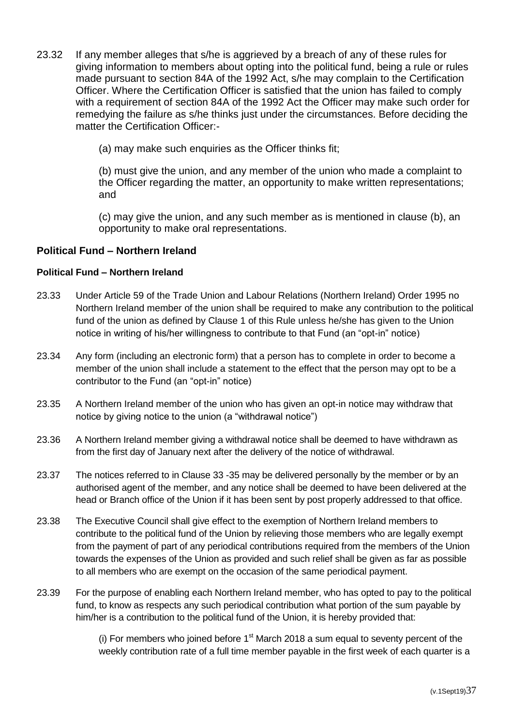- 23.32 If any member alleges that s/he is aggrieved by a breach of any of these rules for giving information to members about opting into the political fund, being a rule or rules made pursuant to section 84A of the 1992 Act, s/he may complain to the Certification Officer. Where the Certification Officer is satisfied that the union has failed to comply with a requirement of section 84A of the 1992 Act the Officer may make such order for remedying the failure as s/he thinks just under the circumstances. Before deciding the matter the Certification Officer:-
	- (a) may make such enquiries as the Officer thinks fit;

(b) must give the union, and any member of the union who made a complaint to the Officer regarding the matter, an opportunity to make written representations; and

(c) may give the union, and any such member as is mentioned in clause (b), an opportunity to make oral representations.

#### **Political Fund – Northern Ireland**

#### **Political Fund – Northern Ireland**

- 23.33 Under Article 59 of the Trade Union and Labour Relations (Northern Ireland) Order 1995 no Northern Ireland member of the union shall be required to make any contribution to the political fund of the union as defined by Clause 1 of this Rule unless he/she has given to the Union notice in writing of his/her willingness to contribute to that Fund (an "opt-in" notice)
- 23.34 Any form (including an electronic form) that a person has to complete in order to become a member of the union shall include a statement to the effect that the person may opt to be a contributor to the Fund (an "opt-in" notice)
- 23.35 A Northern Ireland member of the union who has given an opt-in notice may withdraw that notice by giving notice to the union (a "withdrawal notice")
- 23.36 A Northern Ireland member giving a withdrawal notice shall be deemed to have withdrawn as from the first day of January next after the delivery of the notice of withdrawal.
- 23.37 The notices referred to in Clause 33 -35 may be delivered personally by the member or by an authorised agent of the member, and any notice shall be deemed to have been delivered at the head or Branch office of the Union if it has been sent by post properly addressed to that office.
- 23.38 The Executive Council shall give effect to the exemption of Northern Ireland members to contribute to the political fund of the Union by relieving those members who are legally exempt from the payment of part of any periodical contributions required from the members of the Union towards the expenses of the Union as provided and such relief shall be given as far as possible to all members who are exempt on the occasion of the same periodical payment.
- 23.39 For the purpose of enabling each Northern Ireland member, who has opted to pay to the political fund, to know as respects any such periodical contribution what portion of the sum payable by him/her is a contribution to the political fund of the Union, it is hereby provided that:

(i) For members who joined before  $1<sup>st</sup>$  March 2018 a sum equal to seventy percent of the weekly contribution rate of a full time member payable in the first week of each quarter is a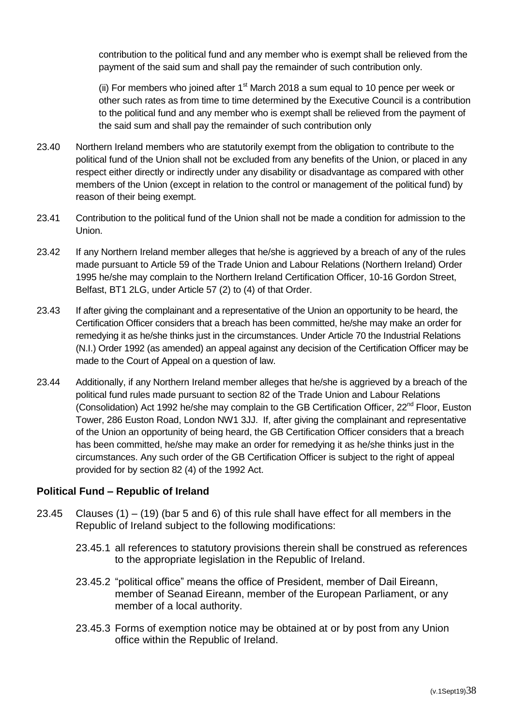contribution to the political fund and any member who is exempt shall be relieved from the payment of the said sum and shall pay the remainder of such contribution only.

(ii) For members who joined after  $1<sup>st</sup>$  March 2018 a sum equal to 10 pence per week or other such rates as from time to time determined by the Executive Council is a contribution to the political fund and any member who is exempt shall be relieved from the payment of the said sum and shall pay the remainder of such contribution only

- 23.40 Northern Ireland members who are statutorily exempt from the obligation to contribute to the political fund of the Union shall not be excluded from any benefits of the Union, or placed in any respect either directly or indirectly under any disability or disadvantage as compared with other members of the Union (except in relation to the control or management of the political fund) by reason of their being exempt.
- 23.41 Contribution to the political fund of the Union shall not be made a condition for admission to the Union.
- 23.42 If any Northern Ireland member alleges that he/she is aggrieved by a breach of any of the rules made pursuant to Article 59 of the Trade Union and Labour Relations (Northern Ireland) Order 1995 he/she may complain to the Northern Ireland Certification Officer, 10-16 Gordon Street, Belfast, BT1 2LG, under Article 57 (2) to (4) of that Order.
- 23.43 If after giving the complainant and a representative of the Union an opportunity to be heard, the Certification Officer considers that a breach has been committed, he/she may make an order for remedying it as he/she thinks just in the circumstances. Under Article 70 the Industrial Relations (N.I.) Order 1992 (as amended) an appeal against any decision of the Certification Officer may be made to the Court of Appeal on a question of law.
- 23.44 Additionally, if any Northern Ireland member alleges that he/she is aggrieved by a breach of the political fund rules made pursuant to section 82 of the Trade Union and Labour Relations (Consolidation) Act 1992 he/she may complain to the GB Certification Officer, 22<sup>nd</sup> Floor, Euston Tower, 286 Euston Road, London NW1 3JJ. If, after giving the complainant and representative of the Union an opportunity of being heard, the GB Certification Officer considers that a breach has been committed, he/she may make an order for remedying it as he/she thinks just in the circumstances. Any such order of the GB Certification Officer is subject to the right of appeal provided for by section 82 (4) of the 1992 Act.

## **Political Fund – Republic of Ireland**

- 23.45 Clauses (1) (19) (bar 5 and 6) of this rule shall have effect for all members in the Republic of Ireland subject to the following modifications:
	- 23.45.1 all references to statutory provisions therein shall be construed as references to the appropriate legislation in the Republic of Ireland.
	- 23.45.2 "political office" means the office of President, member of Dail Eireann, member of Seanad Eireann, member of the European Parliament, or any member of a local authority.
	- 23.45.3 Forms of exemption notice may be obtained at or by post from any Union office within the Republic of Ireland.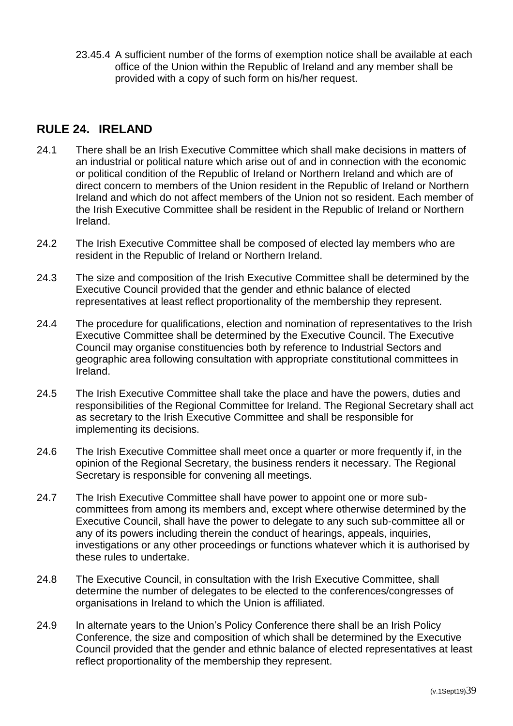23.45.4 A sufficient number of the forms of exemption notice shall be available at each office of the Union within the Republic of Ireland and any member shall be provided with a copy of such form on his/her request.

## <span id="page-39-0"></span>**RULE 24. IRELAND**

- 24.1 There shall be an Irish Executive Committee which shall make decisions in matters of an industrial or political nature which arise out of and in connection with the economic or political condition of the Republic of Ireland or Northern Ireland and which are of direct concern to members of the Union resident in the Republic of Ireland or Northern Ireland and which do not affect members of the Union not so resident. Each member of the Irish Executive Committee shall be resident in the Republic of Ireland or Northern Ireland.
- 24.2 The Irish Executive Committee shall be composed of elected lay members who are resident in the Republic of Ireland or Northern Ireland.
- 24.3 The size and composition of the Irish Executive Committee shall be determined by the Executive Council provided that the gender and ethnic balance of elected representatives at least reflect proportionality of the membership they represent.
- 24.4 The procedure for qualifications, election and nomination of representatives to the Irish Executive Committee shall be determined by the Executive Council. The Executive Council may organise constituencies both by reference to Industrial Sectors and geographic area following consultation with appropriate constitutional committees in Ireland.
- 24.5 The Irish Executive Committee shall take the place and have the powers, duties and responsibilities of the Regional Committee for Ireland. The Regional Secretary shall act as secretary to the Irish Executive Committee and shall be responsible for implementing its decisions.
- 24.6 The Irish Executive Committee shall meet once a quarter or more frequently if, in the opinion of the Regional Secretary, the business renders it necessary. The Regional Secretary is responsible for convening all meetings.
- 24.7 The Irish Executive Committee shall have power to appoint one or more subcommittees from among its members and, except where otherwise determined by the Executive Council, shall have the power to delegate to any such sub-committee all or any of its powers including therein the conduct of hearings, appeals, inquiries, investigations or any other proceedings or functions whatever which it is authorised by these rules to undertake.
- 24.8 The Executive Council, in consultation with the Irish Executive Committee, shall determine the number of delegates to be elected to the conferences/congresses of organisations in Ireland to which the Union is affiliated.
- 24.9 In alternate years to the Union's Policy Conference there shall be an Irish Policy Conference, the size and composition of which shall be determined by the Executive Council provided that the gender and ethnic balance of elected representatives at least reflect proportionality of the membership they represent.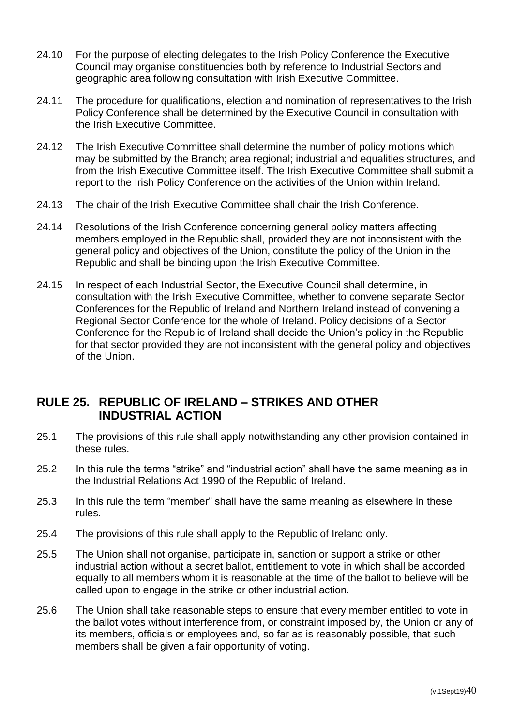- 24.10 For the purpose of electing delegates to the Irish Policy Conference the Executive Council may organise constituencies both by reference to Industrial Sectors and geographic area following consultation with Irish Executive Committee.
- 24.11 The procedure for qualifications, election and nomination of representatives to the Irish Policy Conference shall be determined by the Executive Council in consultation with the Irish Executive Committee.
- 24.12 The Irish Executive Committee shall determine the number of policy motions which may be submitted by the Branch; area regional; industrial and equalities structures, and from the Irish Executive Committee itself. The Irish Executive Committee shall submit a report to the Irish Policy Conference on the activities of the Union within Ireland.
- 24.13 The chair of the Irish Executive Committee shall chair the Irish Conference.
- 24.14 Resolutions of the Irish Conference concerning general policy matters affecting members employed in the Republic shall, provided they are not inconsistent with the general policy and objectives of the Union, constitute the policy of the Union in the Republic and shall be binding upon the Irish Executive Committee.
- 24.15 In respect of each Industrial Sector, the Executive Council shall determine, in consultation with the Irish Executive Committee, whether to convene separate Sector Conferences for the Republic of Ireland and Northern Ireland instead of convening a Regional Sector Conference for the whole of Ireland. Policy decisions of a Sector Conference for the Republic of Ireland shall decide the Union's policy in the Republic for that sector provided they are not inconsistent with the general policy and objectives of the Union.

## <span id="page-40-0"></span>**RULE 25. REPUBLIC OF IRELAND – STRIKES AND OTHER INDUSTRIAL ACTION**

- 25.1 The provisions of this rule shall apply notwithstanding any other provision contained in these rules.
- 25.2 In this rule the terms "strike" and "industrial action" shall have the same meaning as in the Industrial Relations Act 1990 of the Republic of Ireland.
- 25.3 In this rule the term "member" shall have the same meaning as elsewhere in these rules.
- 25.4 The provisions of this rule shall apply to the Republic of Ireland only.
- 25.5 The Union shall not organise, participate in, sanction or support a strike or other industrial action without a secret ballot, entitlement to vote in which shall be accorded equally to all members whom it is reasonable at the time of the ballot to believe will be called upon to engage in the strike or other industrial action.
- 25.6 The Union shall take reasonable steps to ensure that every member entitled to vote in the ballot votes without interference from, or constraint imposed by, the Union or any of its members, officials or employees and, so far as is reasonably possible, that such members shall be given a fair opportunity of voting.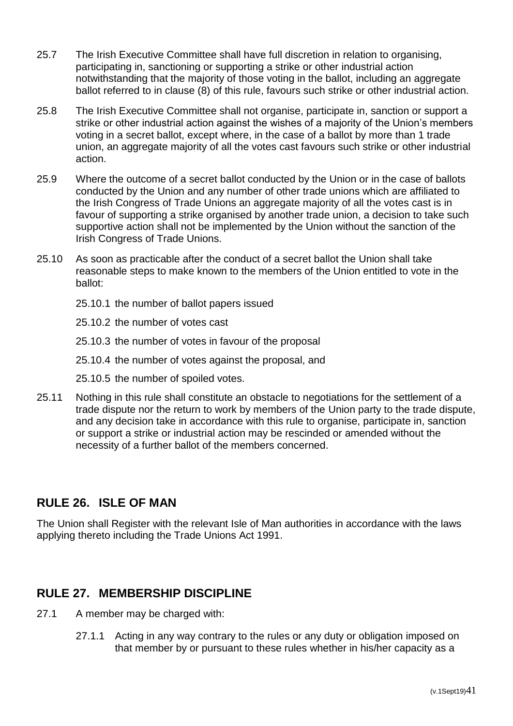- 25.7 The Irish Executive Committee shall have full discretion in relation to organising, participating in, sanctioning or supporting a strike or other industrial action notwithstanding that the majority of those voting in the ballot, including an aggregate ballot referred to in clause (8) of this rule, favours such strike or other industrial action.
- 25.8 The Irish Executive Committee shall not organise, participate in, sanction or support a strike or other industrial action against the wishes of a majority of the Union's members voting in a secret ballot, except where, in the case of a ballot by more than 1 trade union, an aggregate majority of all the votes cast favours such strike or other industrial action.
- 25.9 Where the outcome of a secret ballot conducted by the Union or in the case of ballots conducted by the Union and any number of other trade unions which are affiliated to the Irish Congress of Trade Unions an aggregate majority of all the votes cast is in favour of supporting a strike organised by another trade union, a decision to take such supportive action shall not be implemented by the Union without the sanction of the Irish Congress of Trade Unions.
- 25.10 As soon as practicable after the conduct of a secret ballot the Union shall take reasonable steps to make known to the members of the Union entitled to vote in the ballot:
	- 25.10.1 the number of ballot papers issued
	- 25.10.2 the number of votes cast
	- 25.10.3 the number of votes in favour of the proposal
	- 25.10.4 the number of votes against the proposal, and
	- 25.10.5 the number of spoiled votes.
- 25.11 Nothing in this rule shall constitute an obstacle to negotiations for the settlement of a trade dispute nor the return to work by members of the Union party to the trade dispute, and any decision take in accordance with this rule to organise, participate in, sanction or support a strike or industrial action may be rescinded or amended without the necessity of a further ballot of the members concerned.

## <span id="page-41-0"></span>**RULE 26. ISLE OF MAN**

The Union shall Register with the relevant Isle of Man authorities in accordance with the laws applying thereto including the Trade Unions Act 1991.

## <span id="page-41-1"></span>**RULE 27. MEMBERSHIP DISCIPLINE**

- 27.1 A member may be charged with:
	- 27.1.1 Acting in any way contrary to the rules or any duty or obligation imposed on that member by or pursuant to these rules whether in his/her capacity as a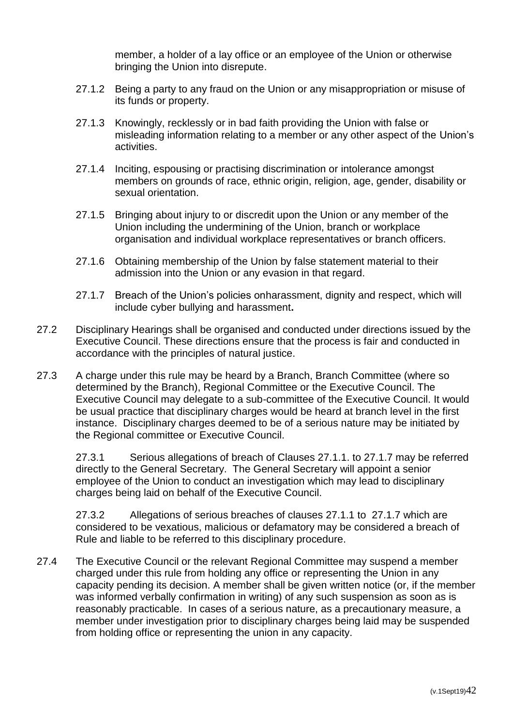member, a holder of a lay office or an employee of the Union or otherwise bringing the Union into disrepute.

- 27.1.2 Being a party to any fraud on the Union or any misappropriation or misuse of its funds or property.
- 27.1.3 Knowingly, recklessly or in bad faith providing the Union with false or misleading information relating to a member or any other aspect of the Union's activities.
- 27.1.4 Inciting, espousing or practising discrimination or intolerance amongst members on grounds of race, ethnic origin, religion, age, gender, disability or sexual orientation.
- 27.1.5 Bringing about injury to or discredit upon the Union or any member of the Union including the undermining of the Union, branch or workplace organisation and individual workplace representatives or branch officers.
- 27.1.6 Obtaining membership of the Union by false statement material to their admission into the Union or any evasion in that regard.
- 27.1.7 Breach of the Union's policies onharassment, dignity and respect, which will include cyber bullying and harassment**.**
- 27.2 Disciplinary Hearings shall be organised and conducted under directions issued by the Executive Council. These directions ensure that the process is fair and conducted in accordance with the principles of natural justice.
- 27.3 A charge under this rule may be heard by a Branch, Branch Committee (where so determined by the Branch), Regional Committee or the Executive Council. The Executive Council may delegate to a sub-committee of the Executive Council. It would be usual practice that disciplinary charges would be heard at branch level in the first instance. Disciplinary charges deemed to be of a serious nature may be initiated by the Regional committee or Executive Council.

27.3.1 Serious allegations of breach of Clauses 27.1.1. to 27.1.7 may be referred directly to the General Secretary. The General Secretary will appoint a senior employee of the Union to conduct an investigation which may lead to disciplinary charges being laid on behalf of the Executive Council.

27.3.2 Allegations of serious breaches of clauses 27.1.1 to 27.1.7 which are considered to be vexatious, malicious or defamatory may be considered a breach of Rule and liable to be referred to this disciplinary procedure.

27.4 The Executive Council or the relevant Regional Committee may suspend a member charged under this rule from holding any office or representing the Union in any capacity pending its decision. A member shall be given written notice (or, if the member was informed verbally confirmation in writing) of any such suspension as soon as is reasonably practicable. In cases of a serious nature, as a precautionary measure, a member under investigation prior to disciplinary charges being laid may be suspended from holding office or representing the union in any capacity.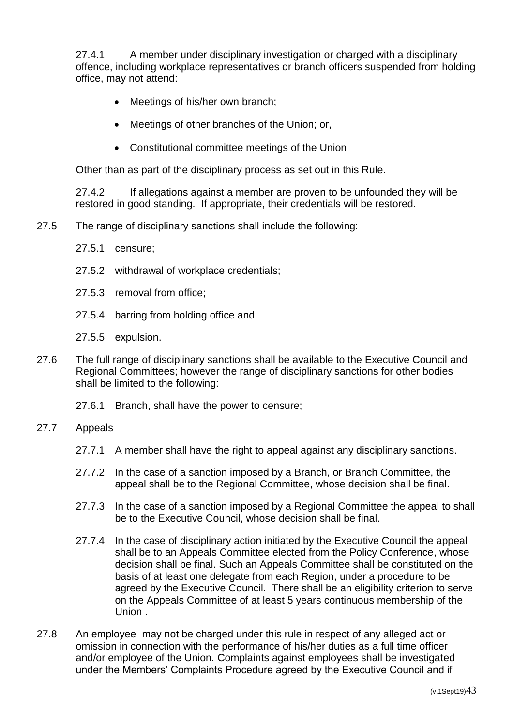27.4.1 A member under disciplinary investigation or charged with a disciplinary offence, including workplace representatives or branch officers suspended from holding office, may not attend:

- Meetings of his/her own branch;
- Meetings of other branches of the Union; or,
- Constitutional committee meetings of the Union

Other than as part of the disciplinary process as set out in this Rule.

27.4.2 If allegations against a member are proven to be unfounded they will be restored in good standing. If appropriate, their credentials will be restored.

- 27.5 The range of disciplinary sanctions shall include the following:
	- 27.5.1 censure;
	- 27.5.2 withdrawal of workplace credentials;
	- 27.5.3 removal from office;
	- 27.5.4 barring from holding office and
	- 27.5.5 expulsion.
- 27.6 The full range of disciplinary sanctions shall be available to the Executive Council and Regional Committees; however the range of disciplinary sanctions for other bodies shall be limited to the following:
	- 27.6.1 Branch, shall have the power to censure;
- 27.7 Appeals
	- 27.7.1 A member shall have the right to appeal against any disciplinary sanctions.
	- 27.7.2 In the case of a sanction imposed by a Branch, or Branch Committee, the appeal shall be to the Regional Committee, whose decision shall be final.
	- 27.7.3 In the case of a sanction imposed by a Regional Committee the appeal to shall be to the Executive Council, whose decision shall be final.
	- 27.7.4 In the case of disciplinary action initiated by the Executive Council the appeal shall be to an Appeals Committee elected from the Policy Conference, whose decision shall be final. Such an Appeals Committee shall be constituted on the basis of at least one delegate from each Region, under a procedure to be agreed by the Executive Council. There shall be an eligibility criterion to serve on the Appeals Committee of at least 5 years continuous membership of the Union .
- 27.8 An employee may not be charged under this rule in respect of any alleged act or omission in connection with the performance of his/her duties as a full time officer and/or employee of the Union. Complaints against employees shall be investigated under the Members' Complaints Procedure agreed by the Executive Council and if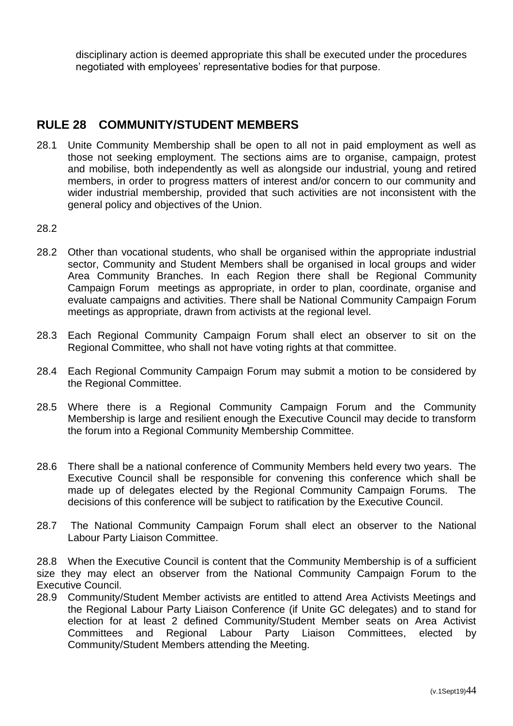disciplinary action is deemed appropriate this shall be executed under the procedures negotiated with employees' representative bodies for that purpose.

## <span id="page-44-0"></span>**RULE 28 COMMUNITY/STUDENT MEMBERS**

- 28.1 Unite Community Membership shall be open to all not in paid employment as well as those not seeking employment. The sections aims are to organise, campaign, protest and mobilise, both independently as well as alongside our industrial, young and retired members, in order to progress matters of interest and/or concern to our community and wider industrial membership, provided that such activities are not inconsistent with the general policy and objectives of the Union.
- 28.2
- 28.2 Other than vocational students, who shall be organised within the appropriate industrial sector, Community and Student Members shall be organised in local groups and wider Area Community Branches. In each Region there shall be Regional Community Campaign Forum meetings as appropriate, in order to plan, coordinate, organise and evaluate campaigns and activities. There shall be National Community Campaign Forum meetings as appropriate, drawn from activists at the regional level.
- 28.3 Each Regional Community Campaign Forum shall elect an observer to sit on the Regional Committee, who shall not have voting rights at that committee.
- 28.4 Each Regional Community Campaign Forum may submit a motion to be considered by the Regional Committee.
- 28.5 Where there is a Regional Community Campaign Forum and the Community Membership is large and resilient enough the Executive Council may decide to transform the forum into a Regional Community Membership Committee.
- 28.6 There shall be a national conference of Community Members held every two years. The Executive Council shall be responsible for convening this conference which shall be made up of delegates elected by the Regional Community Campaign Forums. The decisions of this conference will be subject to ratification by the Executive Council.
- 28.7 The National Community Campaign Forum shall elect an observer to the National Labour Party Liaison Committee.

28.8 When the Executive Council is content that the Community Membership is of a sufficient size they may elect an observer from the National Community Campaign Forum to the Executive Council.

28.9 Community/Student Member activists are entitled to attend Area Activists Meetings and the Regional Labour Party Liaison Conference (if Unite GC delegates) and to stand for election for at least 2 defined Community/Student Member seats on Area Activist Committees and Regional Labour Party Liaison Committees, elected by Community/Student Members attending the Meeting.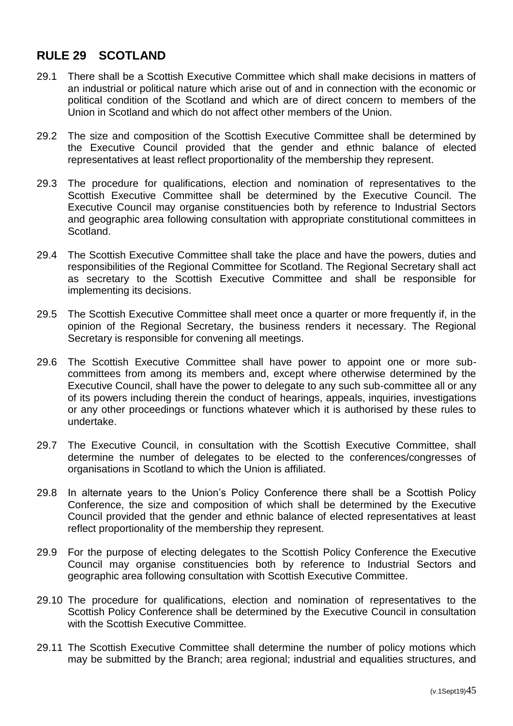## <span id="page-45-0"></span>**RULE 29 SCOTLAND**

- 29.1 There shall be a Scottish Executive Committee which shall make decisions in matters of an industrial or political nature which arise out of and in connection with the economic or political condition of the Scotland and which are of direct concern to members of the Union in Scotland and which do not affect other members of the Union.
- 29.2 The size and composition of the Scottish Executive Committee shall be determined by the Executive Council provided that the gender and ethnic balance of elected representatives at least reflect proportionality of the membership they represent.
- 29.3 The procedure for qualifications, election and nomination of representatives to the Scottish Executive Committee shall be determined by the Executive Council. The Executive Council may organise constituencies both by reference to Industrial Sectors and geographic area following consultation with appropriate constitutional committees in Scotland.
- 29.4 The Scottish Executive Committee shall take the place and have the powers, duties and responsibilities of the Regional Committee for Scotland. The Regional Secretary shall act as secretary to the Scottish Executive Committee and shall be responsible for implementing its decisions.
- 29.5 The Scottish Executive Committee shall meet once a quarter or more frequently if, in the opinion of the Regional Secretary, the business renders it necessary. The Regional Secretary is responsible for convening all meetings.
- 29.6 The Scottish Executive Committee shall have power to appoint one or more subcommittees from among its members and, except where otherwise determined by the Executive Council, shall have the power to delegate to any such sub-committee all or any of its powers including therein the conduct of hearings, appeals, inquiries, investigations or any other proceedings or functions whatever which it is authorised by these rules to undertake.
- 29.7 The Executive Council, in consultation with the Scottish Executive Committee, shall determine the number of delegates to be elected to the conferences/congresses of organisations in Scotland to which the Union is affiliated.
- 29.8 In alternate years to the Union's Policy Conference there shall be a Scottish Policy Conference, the size and composition of which shall be determined by the Executive Council provided that the gender and ethnic balance of elected representatives at least reflect proportionality of the membership they represent.
- 29.9 For the purpose of electing delegates to the Scottish Policy Conference the Executive Council may organise constituencies both by reference to Industrial Sectors and geographic area following consultation with Scottish Executive Committee.
- 29.10 The procedure for qualifications, election and nomination of representatives to the Scottish Policy Conference shall be determined by the Executive Council in consultation with the Scottish Executive Committee.
- 29.11 The Scottish Executive Committee shall determine the number of policy motions which may be submitted by the Branch; area regional; industrial and equalities structures, and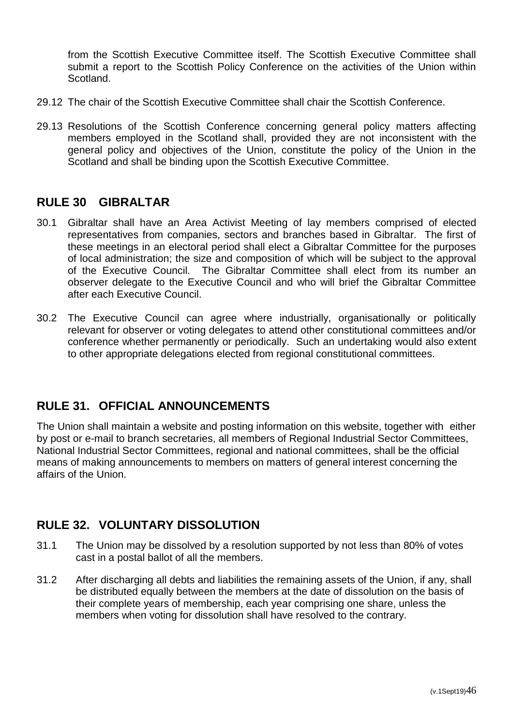from the Scottish Executive Committee itself. The Scottish Executive Committee shall submit a report to the Scottish Policy Conference on the activities of the Union within Scotland.

- 29.12 The chair of the Scottish Executive Committee shall chair the Scottish Conference.
- 29.13 Resolutions of the Scottish Conference concerning general policy matters affecting members employed in the Scotland shall, provided they are not inconsistent with the general policy and objectives of the Union, constitute the policy of the Union in the Scotland and shall be binding upon the Scottish Executive Committee.

## <span id="page-46-0"></span>**RULE 30 GIBRALTAR**

- 30.1 Gibraltar shall have an Area Activist Meeting of lay members comprised of elected representatives from companies, sectors and branches based in Gibraltar. The first of these meetings in an electoral period shall elect a Gibraltar Committee for the purposes of local administration; the size and composition of which will be subject to the approval of the Executive Council. The Gibraltar Committee shall elect from its number an observer delegate to the Executive Council and who will brief the Gibraltar Committee after each Executive Council.
- 30.2 The Executive Council can agree where industrially, organisationally or politically relevant for observer or voting delegates to attend other constitutional committees and/or conference whether permanently or periodically. Such an undertaking would also extent to other appropriate delegations elected from regional constitutional committees.

## <span id="page-46-1"></span>**RULE 31. OFFICIAL ANNOUNCEMENTS**

The Union shall maintain a website and posting information on this website, together with either by post or e-mail to branch secretaries, all members of Regional Industrial Sector Committees, National Industrial Sector Committees, regional and national committees, shall be the official means of making announcements to members on matters of general interest concerning the affairs of the Union.

## <span id="page-46-2"></span>**RULE 32. VOLUNTARY DISSOLUTION**

- 31.1 The Union may be dissolved by a resolution supported by not less than 80% of votes cast in a postal ballot of all the members.
- 31.2 After discharging all debts and liabilities the remaining assets of the Union, if any, shall be distributed equally between the members at the date of dissolution on the basis of their complete years of membership, each year comprising one share, unless the members when voting for dissolution shall have resolved to the contrary.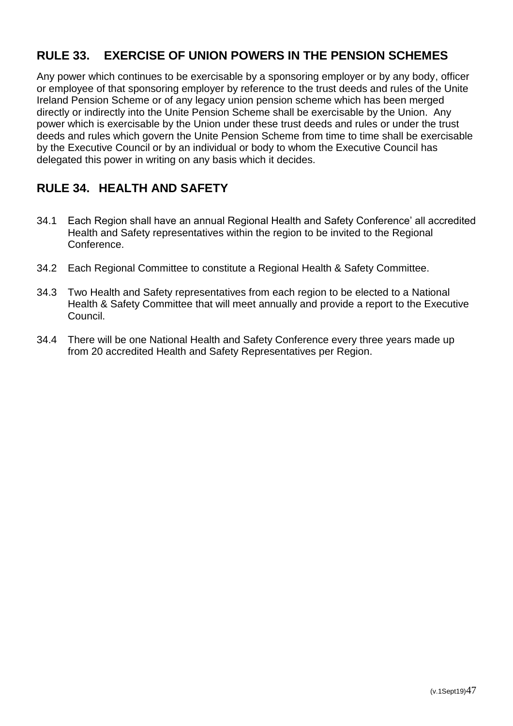# <span id="page-47-0"></span>**RULE 33. EXERCISE OF UNION POWERS IN THE PENSION SCHEMES**

Any power which continues to be exercisable by a sponsoring employer or by any body, officer or employee of that sponsoring employer by reference to the trust deeds and rules of the Unite Ireland Pension Scheme or of any legacy union pension scheme which has been merged directly or indirectly into the Unite Pension Scheme shall be exercisable by the Union. Any power which is exercisable by the Union under these trust deeds and rules or under the trust deeds and rules which govern the Unite Pension Scheme from time to time shall be exercisable by the Executive Council or by an individual or body to whom the Executive Council has delegated this power in writing on any basis which it decides.

# <span id="page-47-1"></span>**RULE 34. HEALTH AND SAFETY**

- 34.1 Each Region shall have an annual Regional Health and Safety Conference' all accredited Health and Safety representatives within the region to be invited to the Regional Conference.
- 34.2 Each Regional Committee to constitute a Regional Health & Safety Committee.
- 34.3 Two Health and Safety representatives from each region to be elected to a National Health & Safety Committee that will meet annually and provide a report to the Executive Council.
- 34.4 There will be one National Health and Safety Conference every three years made up from 20 accredited Health and Safety Representatives per Region.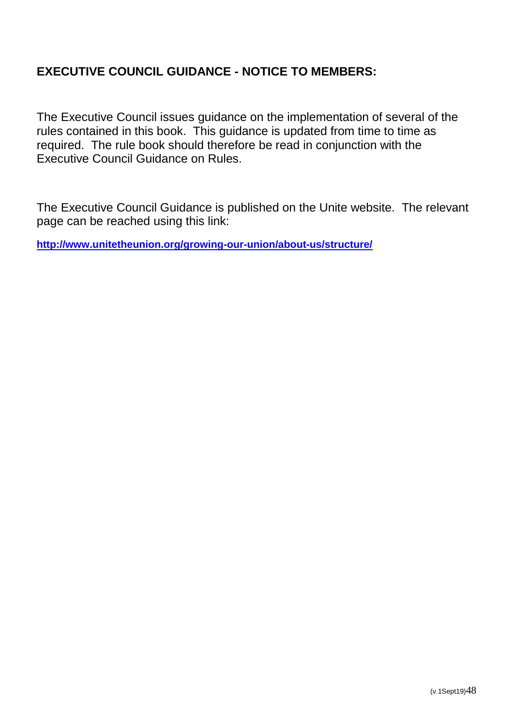## <span id="page-48-0"></span>**EXECUTIVE COUNCIL GUIDANCE - NOTICE TO MEMBERS:**

The Executive Council issues guidance on the implementation of several of the rules contained in this book. This guidance is updated from time to time as required. The rule book should therefore be read in conjunction with the Executive Council Guidance on Rules.

The Executive Council Guidance is published on the Unite website. The relevant page can be reached using this link:

**<http://www.unitetheunion.org/growing-our-union/about-us/structure/>**